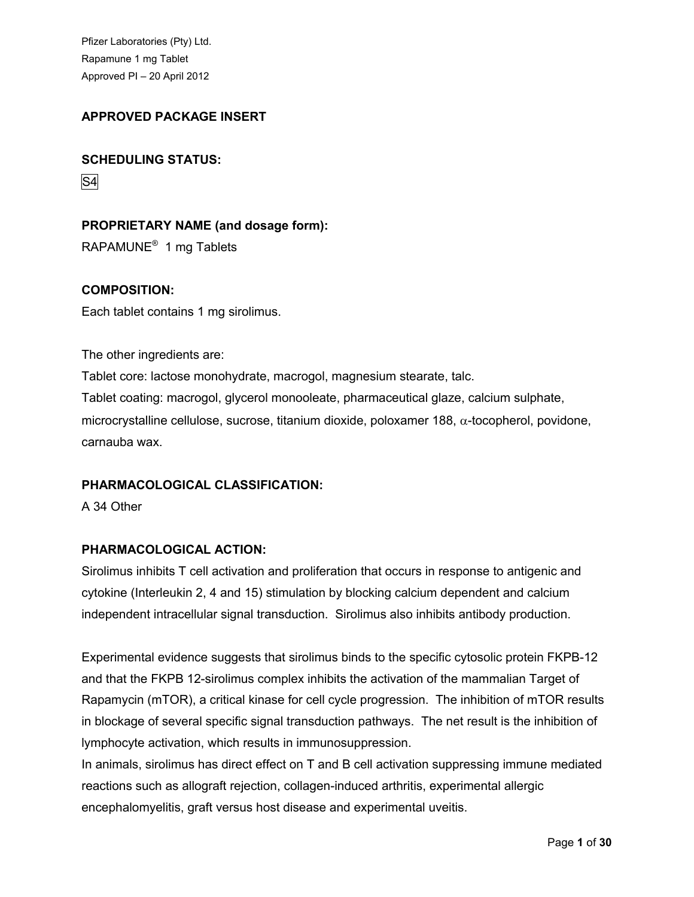# **APPROVED PACKAGE INSERT**

# **SCHEDULING STATUS:**

S4

# **PROPRIETARY NAME (and dosage form):**

RAPAMUNE<sup>®</sup> 1 mg Tablets

# **COMPOSITION:**

Each tablet contains 1 mg sirolimus.

The other ingredients are: Tablet core: lactose monohydrate, macrogol, magnesium stearate, talc. Tablet coating: macrogol, glycerol monooleate, pharmaceutical glaze, calcium sulphate, microcrystalline cellulose, sucrose, titanium dioxide, poloxamer 188,  $\alpha$ -tocopherol, povidone, carnauba wax.

# **PHARMACOLOGICAL CLASSIFICATION:**

A 34 Other

# **PHARMACOLOGICAL ACTION:**

Sirolimus inhibits T cell activation and proliferation that occurs in response to antigenic and cytokine (Interleukin 2, 4 and 15) stimulation by blocking calcium dependent and calcium independent intracellular signal transduction. Sirolimus also inhibits antibody production.

Experimental evidence suggests that sirolimus binds to the specific cytosolic protein FKPB-12 and that the FKPB 12-sirolimus complex inhibits the activation of the mammalian Target of Rapamycin (mTOR), a critical kinase for cell cycle progression. The inhibition of mTOR results in blockage of several specific signal transduction pathways. The net result is the inhibition of lymphocyte activation, which results in immunosuppression.

In animals, sirolimus has direct effect on T and B cell activation suppressing immune mediated reactions such as allograft rejection, collagen-induced arthritis, experimental allergic encephalomyelitis, graft versus host disease and experimental uveitis.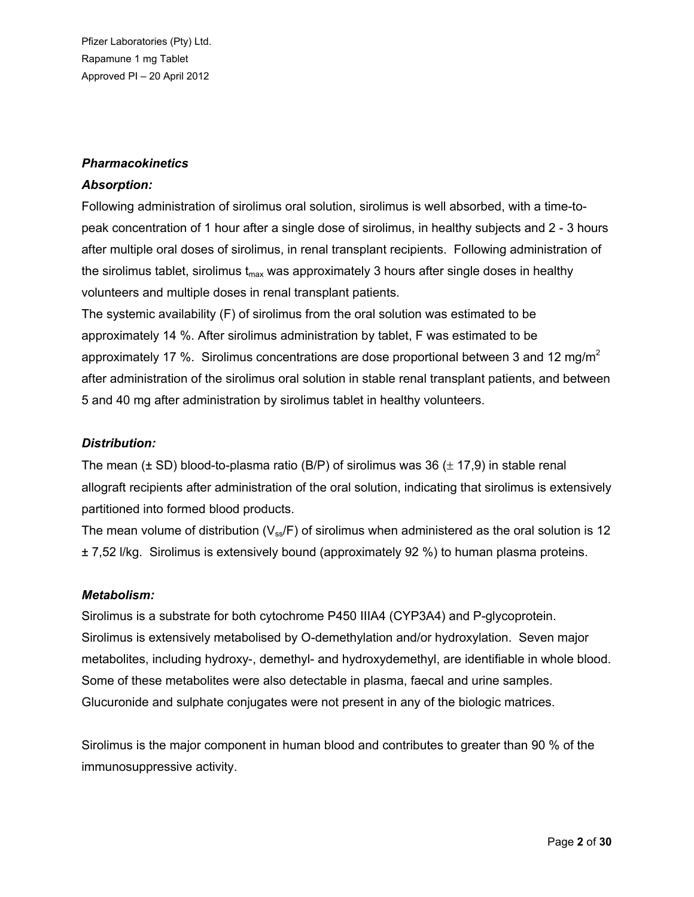### *Pharmacokinetics*

#### *Absorption:*

Following administration of sirolimus oral solution, sirolimus is well absorbed, with a time-topeak concentration of 1 hour after a single dose of sirolimus, in healthy subjects and 2 - 3 hours after multiple oral doses of sirolimus, in renal transplant recipients. Following administration of the sirolimus tablet, sirolimus t<sub>max</sub> was approximately 3 hours after single doses in healthy volunteers and multiple doses in renal transplant patients.

The systemic availability (F) of sirolimus from the oral solution was estimated to be approximately 14 %. After sirolimus administration by tablet, F was estimated to be approximately 17 %. Sirolimus concentrations are dose proportional between 3 and 12 mg/m<sup>2</sup> after administration of the sirolimus oral solution in stable renal transplant patients, and between 5 and 40 mg after administration by sirolimus tablet in healthy volunteers.

## *Distribution:*

The mean ( $\pm$  SD) blood-to-plasma ratio (B/P) of sirolimus was 36 ( $\pm$  17,9) in stable renal allograft recipients after administration of the oral solution, indicating that sirolimus is extensively partitioned into formed blood products.

The mean volume of distribution ( $V_{ss}/F$ ) of sirolimus when administered as the oral solution is 12 ± 7,52 l/kg. Sirolimus is extensively bound (approximately 92 %) to human plasma proteins.

#### *Metabolism:*

Sirolimus is a substrate for both cytochrome P450 IIIA4 (CYP3A4) and P-glycoprotein. Sirolimus is extensively metabolised by O-demethylation and/or hydroxylation. Seven major metabolites, including hydroxy-, demethyl- and hydroxydemethyl, are identifiable in whole blood. Some of these metabolites were also detectable in plasma, faecal and urine samples. Glucuronide and sulphate conjugates were not present in any of the biologic matrices.

Sirolimus is the major component in human blood and contributes to greater than 90 % of the immunosuppressive activity.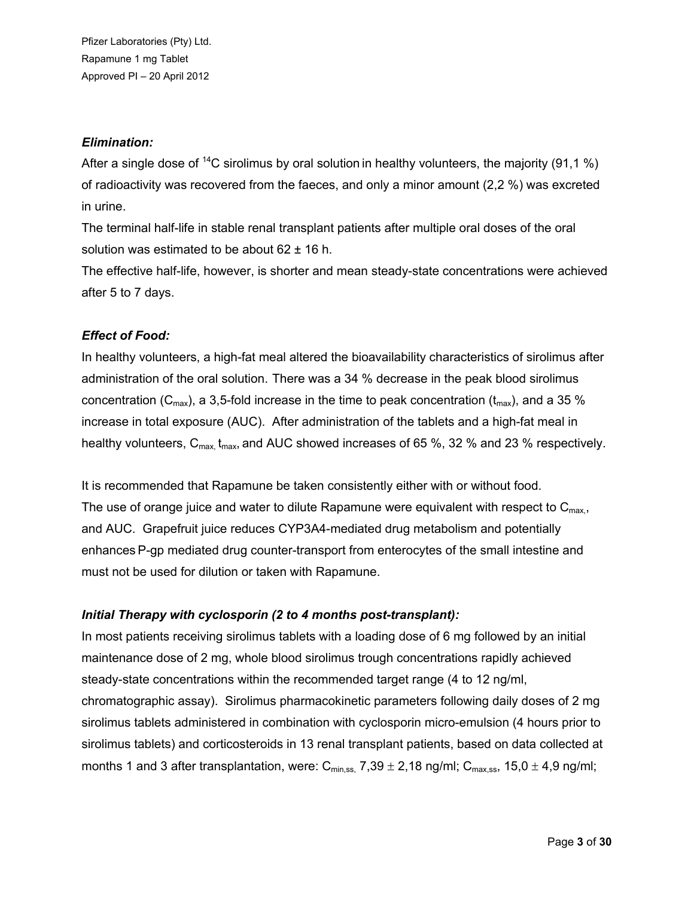## *Elimination:*

After a single dose of <sup>14</sup>C sirolimus by oral solution in healthy volunteers, the majority (91.1 %) of radioactivity was recovered from the faeces, and only a minor amount (2,2 %) was excreted in urine.

The terminal half-life in stable renal transplant patients after multiple oral doses of the oral solution was estimated to be about  $62 \pm 16$  h.

The effective half-life, however, is shorter and mean steady-state concentrations were achieved after 5 to 7 days.

# *Effect of Food:*

In healthy volunteers, a high-fat meal altered the bioavailability characteristics of sirolimus after administration of the oral solution. There was a 34 % decrease in the peak blood sirolimus concentration (C<sub>max</sub>), a 3,5-fold increase in the time to peak concentration (t<sub>max</sub>), and a 35 % increase in total exposure (AUC). After administration of the tablets and a high-fat meal in healthy volunteers,  $C_{\text{max}}$ , t<sub>max</sub>, and AUC showed increases of 65 %, 32 % and 23 % respectively.

It is recommended that Rapamune be taken consistently either with or without food. The use of orange juice and water to dilute Rapamune were equivalent with respect to  $C_{\text{max}}$ , and AUC. Grapefruit juice reduces CYP3A4-mediated drug metabolism and potentially enhances P-gp mediated drug counter-transport from enterocytes of the small intestine and must not be used for dilution or taken with Rapamune.

# *Initial Therapy with cyclosporin (2 to 4 months post-transplant):*

In most patients receiving sirolimus tablets with a loading dose of 6 mg followed by an initial maintenance dose of 2 mg, whole blood sirolimus trough concentrations rapidly achieved steady-state concentrations within the recommended target range (4 to 12 ng/ml, chromatographic assay). Sirolimus pharmacokinetic parameters following daily doses of 2 mg sirolimus tablets administered in combination with cyclosporin micro-emulsion (4 hours prior to sirolimus tablets) and corticosteroids in 13 renal transplant patients, based on data collected at months 1 and 3 after transplantation, were:  $C_{\text{min,ss}}$ , 7,39  $\pm$  2,18 ng/ml;  $C_{\text{max,ss}}$ , 15,0  $\pm$  4,9 ng/ml;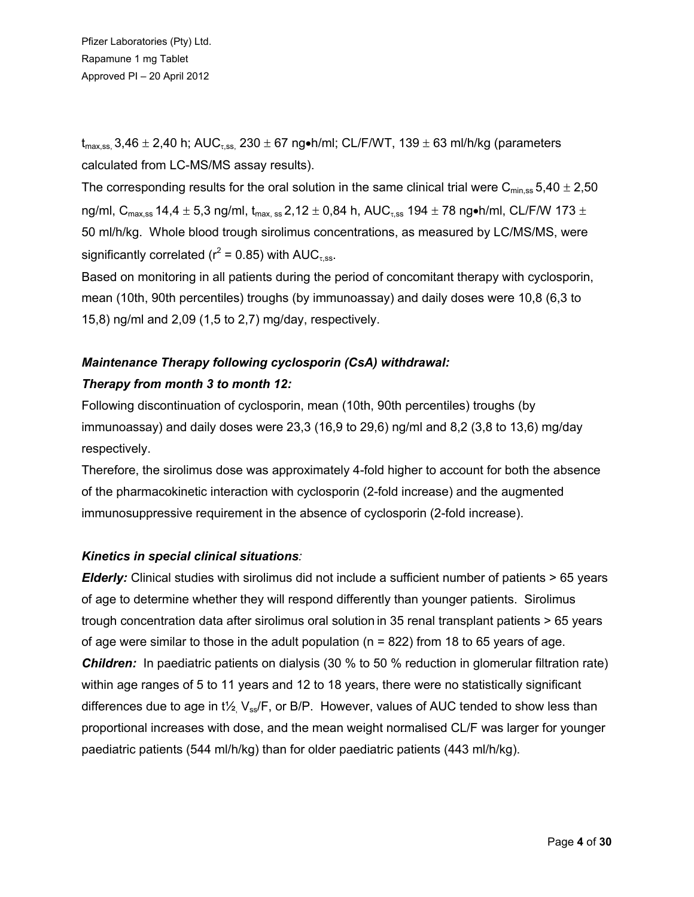$t_{max,ss}$ , 3,46  $\pm$  2,40 h; AUC<sub>zss</sub>, 230  $\pm$  67 ng•h/ml; CL/F/WT, 139  $\pm$  63 ml/h/kg (parameters calculated from LC-MS/MS assay results).

The corresponding results for the oral solution in the same clinical trial were C<sub>min, ss</sub> 5,40  $\pm$  2,50 ng/ml, C<sub>max.ss</sub> 14,4  $\pm$  5,3 ng/ml, t<sub>max.ss</sub> 2,12  $\pm$  0,84 h, AUC<sub>t.ss</sub> 194  $\pm$  78 ng•h/ml, CL/F/W 173  $\pm$ 50 ml/h/kg. Whole blood trough sirolimus concentrations, as measured by LC/MS/MS, were significantly correlated ( $r^2$  = 0.85) with AUC<sub> $\tau$ ,ss</sub>.

Based on monitoring in all patients during the period of concomitant therapy with cyclosporin, mean (10th, 90th percentiles) troughs (by immunoassay) and daily doses were 10,8 (6,3 to 15,8) ng/ml and 2,09 (1,5 to 2,7) mg/day, respectively.

# *Maintenance Therapy following cyclosporin (CsA) withdrawal: Therapy from month 3 to month 12:*

Following discontinuation of cyclosporin, mean (10th, 90th percentiles) troughs (by immunoassay) and daily doses were  $23.3$  (16,9 to 29,6) ng/ml and 8,2 (3,8 to 13,6) mg/day respectively.

Therefore, the sirolimus dose was approximately 4-fold higher to account for both the absence of the pharmacokinetic interaction with cyclosporin (2-fold increase) and the augmented immunosuppressive requirement in the absence of cyclosporin (2-fold increase).

# *Kinetics in special clinical situations:*

*Elderly:* Clinical studies with sirolimus did not include a sufficient number of patients > 65 years of age to determine whether they will respond differently than younger patients. Sirolimus trough concentration data after sirolimus oral solution in 35 renal transplant patients > 65 years of age were similar to those in the adult population ( $n = 822$ ) from 18 to 65 years of age. *Children:* In paediatric patients on dialysis (30 % to 50 % reduction in glomerular filtration rate) within age ranges of 5 to 11 years and 12 to 18 years, there were no statistically significant differences due to age in t<sup> $1/2$ </sup>,  $V_{ss}/F$ , or B/P. However, values of AUC tended to show less than proportional increases with dose, and the mean weight normalised CL/F was larger for younger paediatric patients (544 ml/h/kg) than for older paediatric patients (443 ml/h/kg).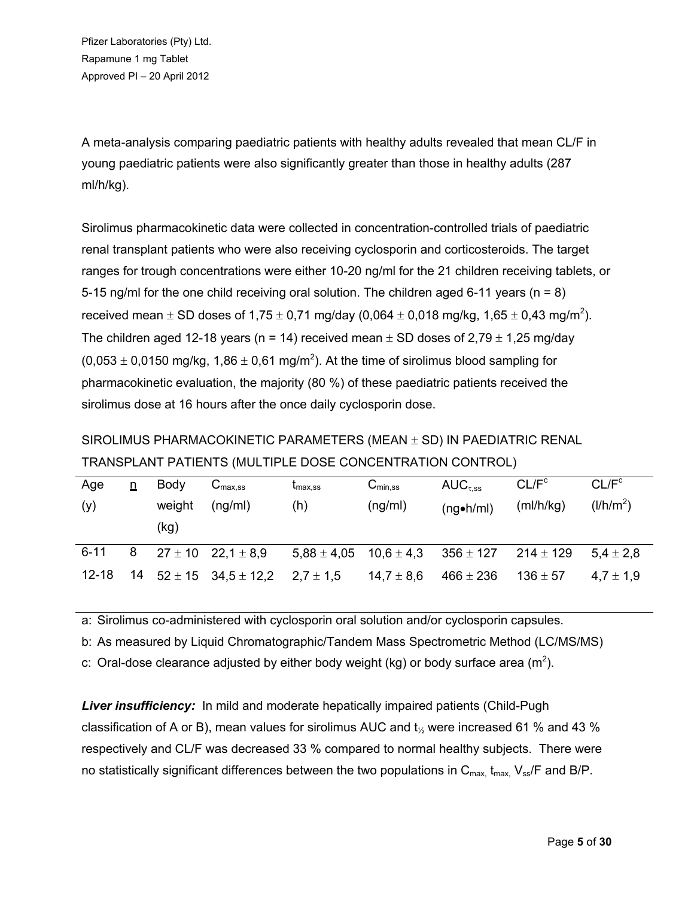A meta-analysis comparing paediatric patients with healthy adults revealed that mean CL/F in young paediatric patients were also significantly greater than those in healthy adults (287 ml/h/kg).

Sirolimus pharmacokinetic data were collected in concentration-controlled trials of paediatric renal transplant patients who were also receiving cyclosporin and corticosteroids. The target ranges for trough concentrations were either 10-20 ng/ml for the 21 children receiving tablets, or 5-15 ng/ml for the one child receiving oral solution. The children aged 6-11 years ( $n = 8$ ) received mean  $\pm$  SD doses of 1,75  $\pm$  0,71 mg/day (0,064  $\pm$  0,018 mg/kg, 1,65  $\pm$  0,43 mg/m<sup>2</sup>). The children aged 12-18 years (n = 14) received mean  $\pm$  SD doses of 2,79  $\pm$  1,25 mg/day (0,053  $\pm$  0,0150 mg/kg, 1,86  $\pm$  0,61 mg/m<sup>2</sup>). At the time of sirolimus blood sampling for pharmacokinetic evaluation, the majority (80 %) of these paediatric patients received the sirolimus dose at 16 hours after the once daily cyclosporin dose.

SIROLIMUS PHARMACOKINETIC PARAMETERS (MEAN  $\pm$  SD) IN PAEDIATRIC RENAL TRANSPLANT PATIENTS (MULTIPLE DOSE CONCENTRATION CONTROL)

| Age<br>(y) | n | Body<br>weight<br>(kg) | $\mathsf{v}_{\mathsf{max}.\mathsf{ss}}$<br>(nq/ml) | <sup>L</sup> max.ss<br>(h) | $C_{\text{min,SS}}$<br>(ng/ml) | $AUC_{\tau,ss}$<br>$(nq\bullet h/ml)$                      | CL/F <sup>c</sup><br>(mI/h/kg) | CL/F <sup>c</sup><br>$\frac{1}{h}$ |
|------------|---|------------------------|----------------------------------------------------|----------------------------|--------------------------------|------------------------------------------------------------|--------------------------------|------------------------------------|
| $6 - 11$   | 8 |                        | $27 \pm 10$ 22,1 $\pm$ 8,9                         |                            |                                | $5,88 \pm 4,05$ $10,6 \pm 4,3$ $356 \pm 127$ $214 \pm 129$ |                                | $5.4 \pm 2.8$                      |
| $12 - 18$  |   |                        | $14$ $52 \pm 15$ $34.5 \pm 12.2$                   | $2.7 \pm 1.5$              | $14.7\pm8.6$                   | $466 \pm 236$                                              | $136 \pm 57$                   | $4.7 \pm 1.9$                      |

a: Sirolimus co-administered with cyclosporin oral solution and/or cyclosporin capsules.

b: As measured by Liquid Chromatographic/Tandem Mass Spectrometric Method (LC/MS/MS)

c: Oral-dose clearance adjusted by either body weight (kg) or body surface area (m<sup>2</sup>).

**Liver insufficiency:** In mild and moderate hepatically impaired patients (Child-Pugh classification of A or B), mean values for sirolimus AUC and  $t_{\gamma}$  were increased 61 % and 43 % respectively and CL/F was decreased 33 % compared to normal healthy subjects. There were no statistically significant differences between the two populations in  $C_{\text{max}}$ ,  $t_{\text{max}}$ ,  $V_{\text{ss}}/F$  and B/P.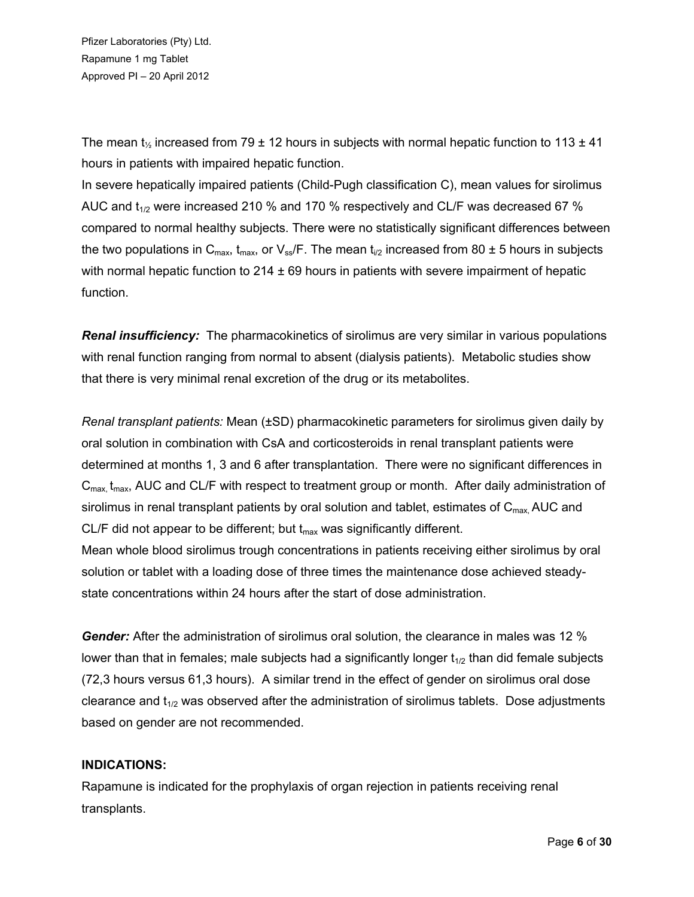The mean  $t_{\gamma}$  increased from 79  $\pm$  12 hours in subjects with normal hepatic function to 113  $\pm$  41 hours in patients with impaired hepatic function.

In severe hepatically impaired patients (Child-Pugh classification C), mean values for sirolimus AUC and  $t_{1/2}$  were increased 210 % and 170 % respectively and CL/F was decreased 67 % compared to normal healthy subjects. There were no statistically significant differences between the two populations in  $C_{\text{max}}$ ,  $t_{\text{max}}$ , or  $V_{\text{ss}}/F$ . The mean  $t_{1/2}$  increased from 80  $\pm$  5 hours in subjects with normal hepatic function to  $214 \pm 69$  hours in patients with severe impairment of hepatic function.

*Renal insufficiency:* The pharmacokinetics of sirolimus are very similar in various populations with renal function ranging from normal to absent (dialysis patients). Metabolic studies show that there is very minimal renal excretion of the drug or its metabolites.

*Renal transplant patients:* Mean (±SD) pharmacokinetic parameters for sirolimus given daily by oral solution in combination with CsA and corticosteroids in renal transplant patients were determined at months 1, 3 and 6 after transplantation. There were no significant differences in  $C<sub>max</sub>$ , t<sub>max</sub>, AUC and CL/F with respect to treatment group or month. After daily administration of sirolimus in renal transplant patients by oral solution and tablet, estimates of  $C_{\text{max}}$ , AUC and CL/F did not appear to be different; but  $t_{max}$  was significantly different. Mean whole blood sirolimus trough concentrations in patients receiving either sirolimus by oral solution or tablet with a loading dose of three times the maintenance dose achieved steadystate concentrations within 24 hours after the start of dose administration.

*Gender:* After the administration of sirolimus oral solution, the clearance in males was 12 % lower than that in females; male subjects had a significantly longer  $t_{1/2}$  than did female subjects (72,3 hours versus 61,3 hours). A similar trend in the effect of gender on sirolimus oral dose clearance and  $t_{1/2}$  was observed after the administration of sirolimus tablets. Dose adjustments based on gender are not recommended.

# **INDICATIONS:**

Rapamune is indicated for the prophylaxis of organ rejection in patients receiving renal transplants.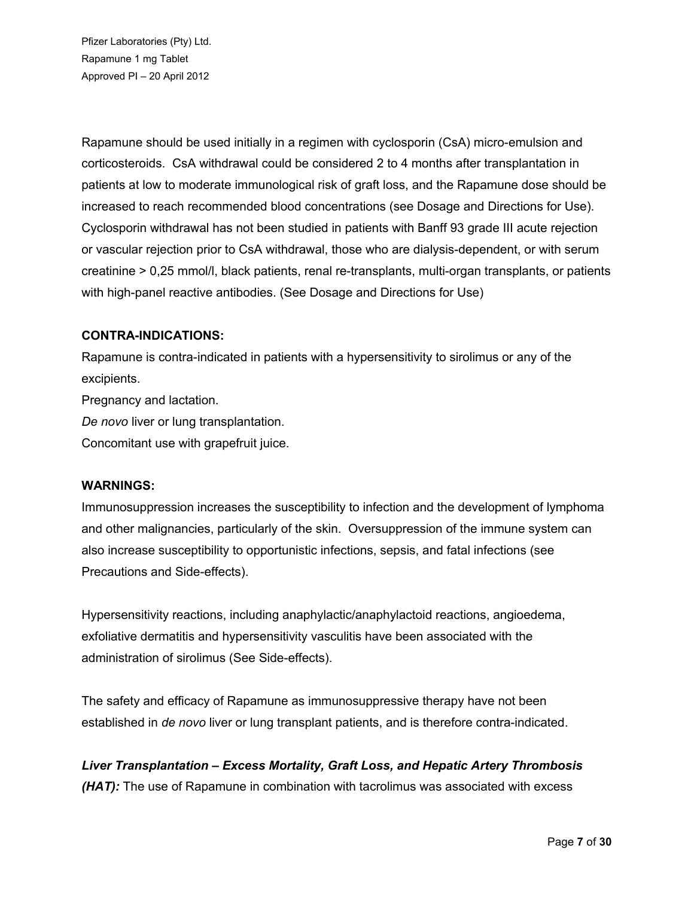Rapamune should be used initially in a regimen with cyclosporin (CsA) micro-emulsion and corticosteroids. CsA withdrawal could be considered 2 to 4 months after transplantation in patients at low to moderate immunological risk of graft loss, and the Rapamune dose should be increased to reach recommended blood concentrations (see Dosage and Directions for Use). Cyclosporin withdrawal has not been studied in patients with Banff 93 grade III acute rejection or vascular rejection prior to CsA withdrawal, those who are dialysis-dependent, or with serum creatinine > 0,25 mmol/l, black patients, renal re-transplants, multi-organ transplants, or patients with high-panel reactive antibodies. (See Dosage and Directions for Use)

### **CONTRA-INDICATIONS:**

Rapamune is contra-indicated in patients with a hypersensitivity to sirolimus or any of the excipients. Pregnancy and lactation.

*De novo* liver or lung transplantation.

Concomitant use with grapefruit juice.

# **WARNINGS:**

Immunosuppression increases the susceptibility to infection and the development of lymphoma and other malignancies, particularly of the skin. Oversuppression of the immune system can also increase susceptibility to opportunistic infections, sepsis, and fatal infections (see Precautions and Side-effects).

Hypersensitivity reactions, including anaphylactic/anaphylactoid reactions, angioedema, exfoliative dermatitis and hypersensitivity vasculitis have been associated with the administration of sirolimus (See Side-effects).

The safety and efficacy of Rapamune as immunosuppressive therapy have not been established in *de novo* liver or lung transplant patients, and is therefore contra-indicated.

*Liver Transplantation – Excess Mortality, Graft Loss, and Hepatic Artery Thrombosis (HAT):* The use of Rapamune in combination with tacrolimus was associated with excess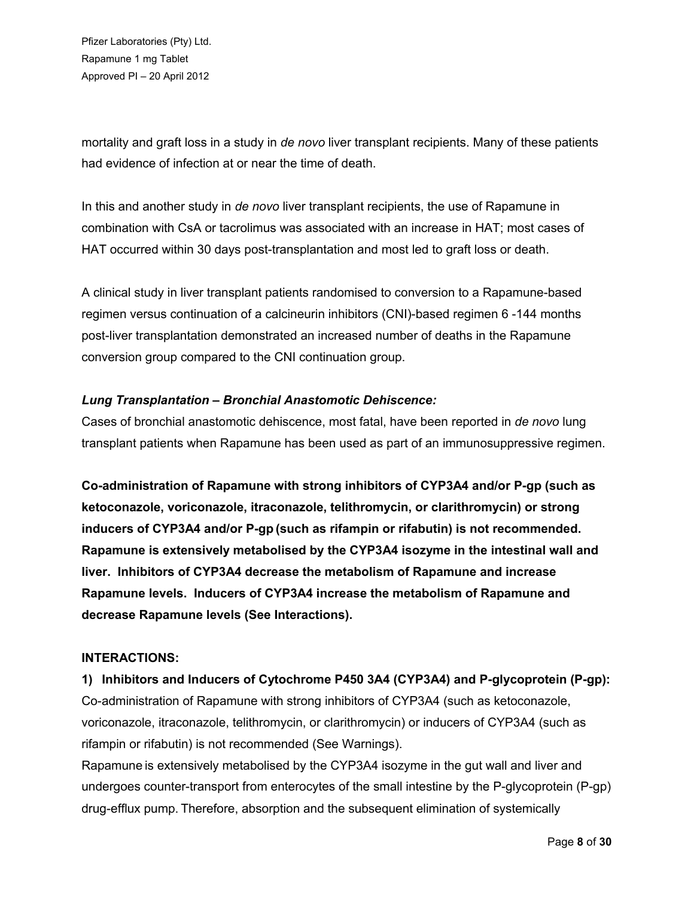mortality and graft loss in a study in *de novo* liver transplant recipients. Many of these patients had evidence of infection at or near the time of death.

In this and another study in *de novo* liver transplant recipients, the use of Rapamune in combination with CsA or tacrolimus was associated with an increase in HAT; most cases of HAT occurred within 30 days post-transplantation and most led to graft loss or death.

A clinical study in liver transplant patients randomised to conversion to a Rapamune-based regimen versus continuation of a calcineurin inhibitors (CNI)-based regimen 6 -144 months post-liver transplantation demonstrated an increased number of deaths in the Rapamune conversion group compared to the CNI continuation group.

# *Lung Transplantation – Bronchial Anastomotic Dehiscence:*

Cases of bronchial anastomotic dehiscence, most fatal, have been reported in *de novo* lung transplant patients when Rapamune has been used as part of an immunosuppressive regimen.

**Co-administration of Rapamune with strong inhibitors of CYP3A4 and/or P-gp (such as ketoconazole, voriconazole, itraconazole, telithromycin, or clarithromycin) or strong inducers of CYP3A4 and/or P-gp (such as rifampin or rifabutin) is not recommended. Rapamune is extensively metabolised by the CYP3A4 isozyme in the intestinal wall and liver. Inhibitors of CYP3A4 decrease the metabolism of Rapamune and increase Rapamune levels. Inducers of CYP3A4 increase the metabolism of Rapamune and decrease Rapamune levels (See Interactions).**

# **INTERACTIONS:**

**1) Inhibitors and Inducers of Cytochrome P450 3A4 (CYP3A4) and P-glycoprotein (P-gp):** Co-administration of Rapamune with strong inhibitors of CYP3A4 (such as ketoconazole, voriconazole, itraconazole, telithromycin, or clarithromycin) or inducers of CYP3A4 (such as rifampin or rifabutin) is not recommended (See Warnings).

Rapamune is extensively metabolised by the CYP3A4 isozyme in the gut wall and liver and undergoes counter-transport from enterocytes of the small intestine by the P-glycoprotein (P-gp) drug-efflux pump. Therefore, absorption and the subsequent elimination of systemically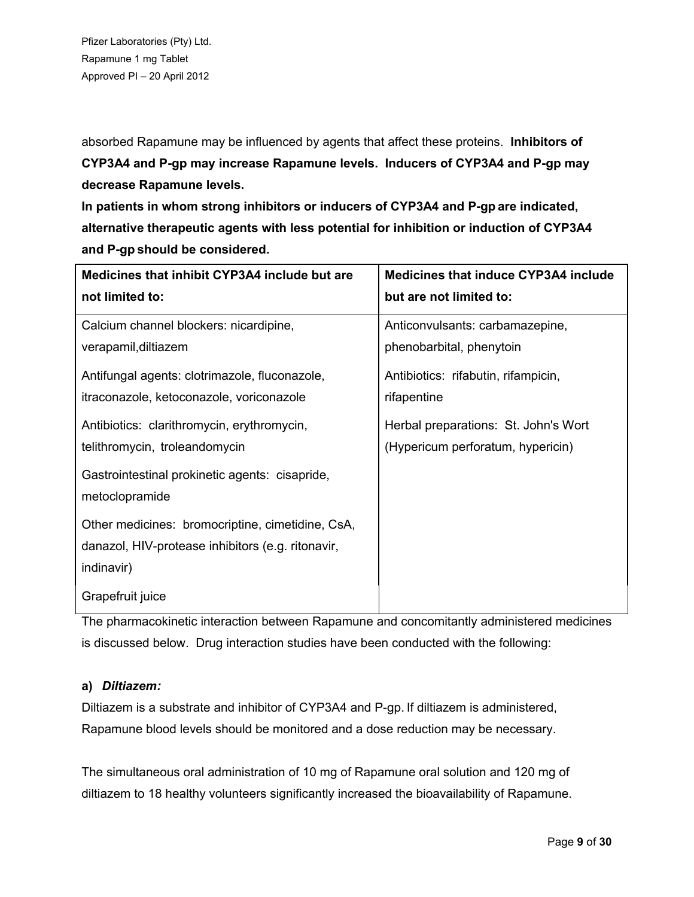absorbed Rapamune may be influenced by agents that affect these proteins. **Inhibitors of CYP3A4 and P-gp may increase Rapamune levels. Inducers of CYP3A4 and P-gp may decrease Rapamune levels.**

**In patients in whom strong inhibitors or inducers of CYP3A4 and P-gp are indicated, alternative therapeutic agents with less potential for inhibition or induction of CYP3A4 and P-gp should be considered.**

| Medicines that inhibit CYP3A4 include but are                                                                       | <b>Medicines that induce CYP3A4 include</b> |
|---------------------------------------------------------------------------------------------------------------------|---------------------------------------------|
| not limited to:                                                                                                     | but are not limited to:                     |
| Calcium channel blockers: nicardipine,                                                                              | Anticonvulsants: carbamazepine,             |
| verapamil, diltiazem                                                                                                | phenobarbital, phenytoin                    |
| Antifungal agents: clotrimazole, fluconazole,                                                                       | Antibiotics: rifabutin, rifampicin,         |
| itraconazole, ketoconazole, voriconazole                                                                            | rifapentine                                 |
| Antibiotics: clarithromycin, erythromycin,                                                                          | Herbal preparations: St. John's Wort        |
| telithromycin, troleandomycin                                                                                       | (Hypericum perforatum, hypericin)           |
| Gastrointestinal prokinetic agents: cisapride,<br>metoclopramide                                                    |                                             |
| Other medicines: bromocriptine, cimetidine, CsA,<br>danazol, HIV-protease inhibitors (e.g. ritonavir,<br>indinavir) |                                             |
| Grapefruit juice                                                                                                    |                                             |

The pharmacokinetic interaction between Rapamune and concomitantly administered medicines is discussed below. Drug interaction studies have been conducted with the following:

# **a)** *Diltiazem:*

Diltiazem is a substrate and inhibitor of CYP3A4 and P-gp. If diltiazem is administered, Rapamune blood levels should be monitored and a dose reduction may be necessary.

The simultaneous oral administration of 10 mg of Rapamune oral solution and 120 mg of diltiazem to 18 healthy volunteers significantly increased the bioavailability of Rapamune.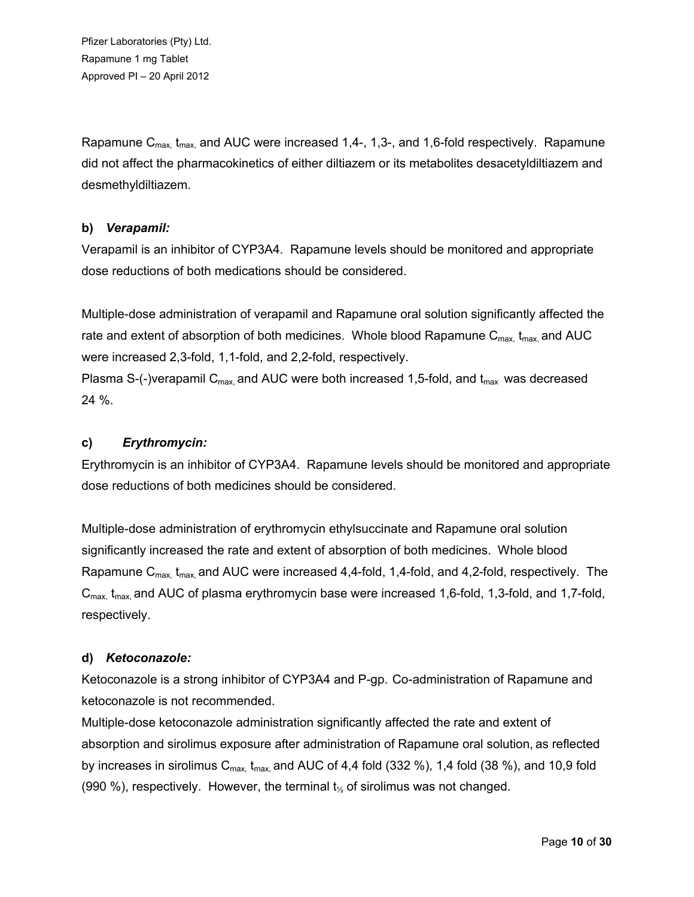Rapamune  $C_{\text{max}}$ ,  $t_{\text{max}}$ , and AUC were increased 1,4-, 1,3-, and 1,6-fold respectively. Rapamune did not affect the pharmacokinetics of either diltiazem or its metabolites desacetyldiltiazem and desmethyldiltiazem.

# **b)** *Verapamil:*

Verapamil is an inhibitor of CYP3A4. Rapamune levels should be monitored and appropriate dose reductions of both medications should be considered.

Multiple-dose administration of verapamil and Rapamune oral solution significantly affected the rate and extent of absorption of both medicines. Whole blood Rapamune  $C_{\text{max}}$ ,  $t_{\text{max}}$ , and AUC were increased 2,3-fold, 1,1-fold, and 2,2-fold, respectively.

Plasma S-(-)verapamil  $C_{\text{max}}$  and AUC were both increased 1,5-fold, and  $t_{\text{max}}$  was decreased 24 %.

# **c)** *Erythromycin:*

Erythromycin is an inhibitor of CYP3A4. Rapamune levels should be monitored and appropriate dose reductions of both medicines should be considered.

Multiple-dose administration of erythromycin ethylsuccinate and Rapamune oral solution significantly increased the rate and extent of absorption of both medicines. Whole blood Rapamune  $C_{\text{max}}$ ,  $t_{\text{max}}$  and AUC were increased 4,4-fold, 1,4-fold, and 4,2-fold, respectively. The  $C_{\text{max}}$ , t<sub>max</sub>, and AUC of plasma erythromycin base were increased 1,6-fold, 1,3-fold, and 1,7-fold, respectively.

# **d)** *Ketoconazole:*

Ketoconazole is a strong inhibitor of CYP3A4 and P-gp. Co-administration of Rapamune and ketoconazole is not recommended.

Multiple-dose ketoconazole administration significantly affected the rate and extent of absorption and sirolimus exposure after administration of Rapamune oral solution, as reflected by increases in sirolimus  $C_{\text{max}}$ ,  $t_{\text{max}}$  and AUC of 4,4 fold (332 %), 1,4 fold (38 %), and 10,9 fold (990 %), respectively. However, the terminal  $t_{\gamma}$  of sirolimus was not changed.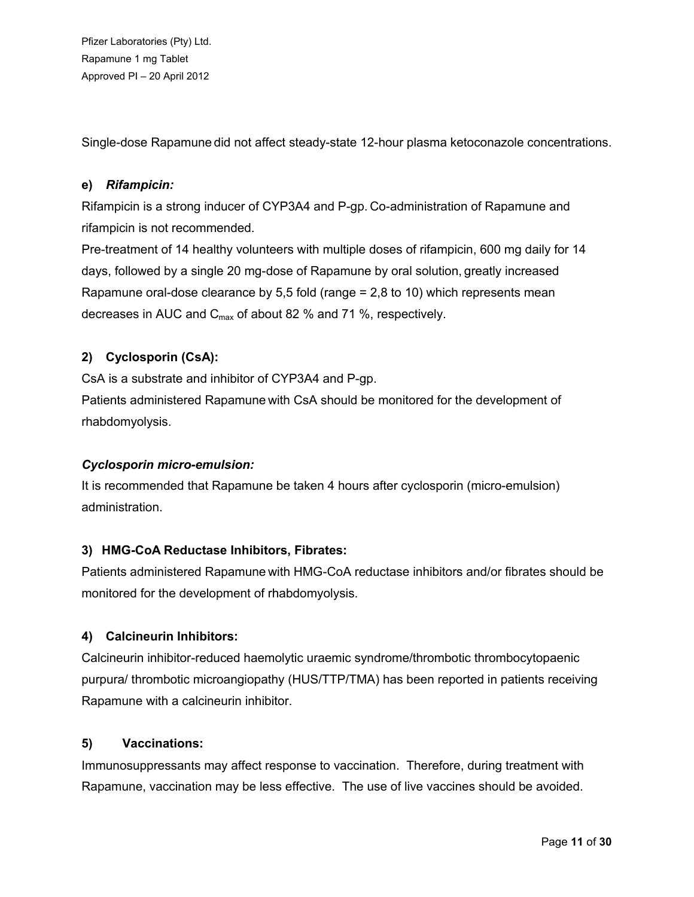Single-dose Rapamune did not affect steady-state 12-hour plasma ketoconazole concentrations.

# **e)** *Rifampicin:*

Rifampicin is a strong inducer of CYP3A4 and P-gp. Co-administration of Rapamune and rifampicin is not recommended.

Pre-treatment of 14 healthy volunteers with multiple doses of rifampicin, 600 mg daily for 14 days, followed by a single 20 mg-dose of Rapamune by oral solution, greatly increased Rapamune oral-dose clearance by 5,5 fold (range = 2,8 to 10) which represents mean decreases in AUC and  $C_{\text{max}}$  of about 82 % and 71 %, respectively.

# **2) Cyclosporin (CsA):**

CsA is a substrate and inhibitor of CYP3A4 and P-gp.

Patients administered Rapamune with CsA should be monitored for the development of rhabdomyolysis.

# *Cyclosporin micro-emulsion:*

It is recommended that Rapamune be taken 4 hours after cyclosporin (micro-emulsion) administration.

# **3) HMG-CoA Reductase Inhibitors, Fibrates:**

Patients administered Rapamune with HMG-CoA reductase inhibitors and/or fibrates should be monitored for the development of rhabdomyolysis.

# **4) Calcineurin Inhibitors:**

Calcineurin inhibitor-reduced haemolytic uraemic syndrome/thrombotic thrombocytopaenic purpura/ thrombotic microangiopathy (HUS/TTP/TMA) has been reported in patients receiving Rapamune with a calcineurin inhibitor.

# **5) Vaccinations:**

Immunosuppressants may affect response to vaccination. Therefore, during treatment with Rapamune, vaccination may be less effective. The use of live vaccines should be avoided.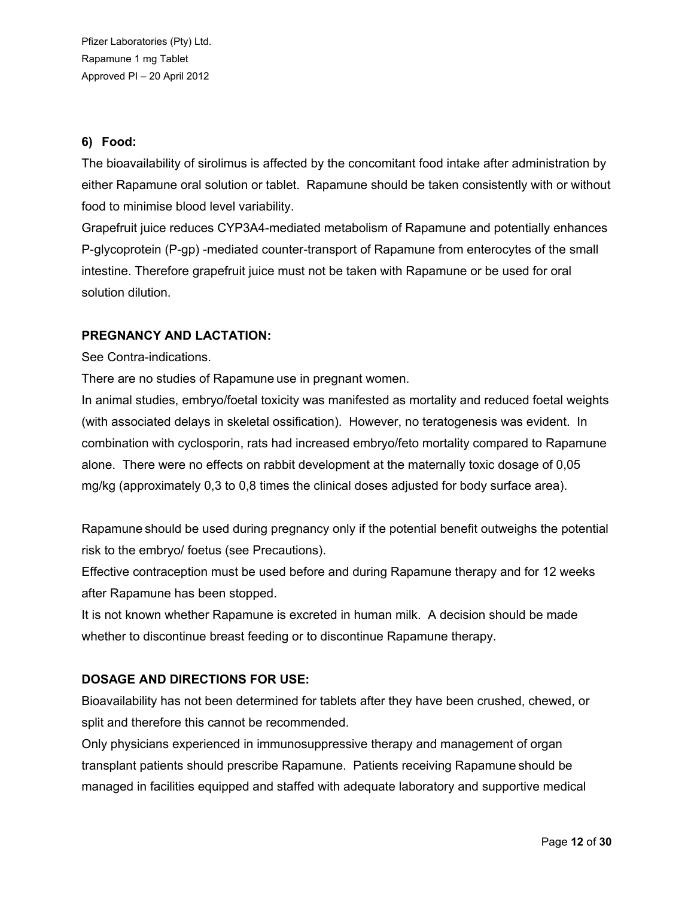# **6) Food:**

The bioavailability of sirolimus is affected by the concomitant food intake after administration by either Rapamune oral solution or tablet. Rapamune should be taken consistently with or without food to minimise blood level variability.

Grapefruit juice reduces CYP3A4-mediated metabolism of Rapamune and potentially enhances P-glycoprotein (P-gp) -mediated counter-transport of Rapamune from enterocytes of the small intestine. Therefore grapefruit juice must not be taken with Rapamune or be used for oral solution dilution.

# **PREGNANCY AND LACTATION:**

See Contra-indications.

There are no studies of Rapamune use in pregnant women.

In animal studies, embryo/foetal toxicity was manifested as mortality and reduced foetal weights (with associated delays in skeletal ossification). However, no teratogenesis was evident. In combination with cyclosporin, rats had increased embryo/feto mortality compared to Rapamune alone. There were no effects on rabbit development at the maternally toxic dosage of 0,05 mg/kg (approximately 0,3 to 0,8 times the clinical doses adjusted for body surface area).

Rapamune should be used during pregnancy only if the potential benefit outweighs the potential risk to the embryo/ foetus (see Precautions).

Effective contraception must be used before and during Rapamune therapy and for 12 weeks after Rapamune has been stopped.

It is not known whether Rapamune is excreted in human milk. A decision should be made whether to discontinue breast feeding or to discontinue Rapamune therapy.

# **DOSAGE AND DIRECTIONS FOR USE:**

Bioavailability has not been determined for tablets after they have been crushed, chewed, or split and therefore this cannot be recommended.

Only physicians experienced in immunosuppressive therapy and management of organ transplant patients should prescribe Rapamune. Patients receiving Rapamune should be managed in facilities equipped and staffed with adequate laboratory and supportive medical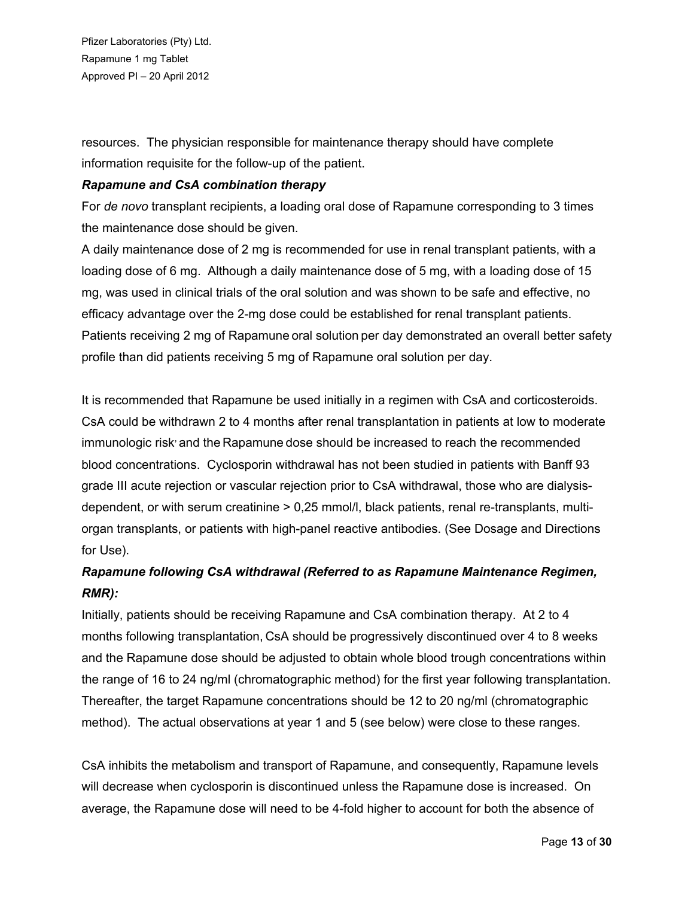resources. The physician responsible for maintenance therapy should have complete information requisite for the follow-up of the patient.

### *Rapamune and CsA combination therapy*

For *de novo* transplant recipients, a loading oral dose of Rapamune corresponding to 3 times the maintenance dose should be given.

A daily maintenance dose of 2 mg is recommended for use in renal transplant patients, with a loading dose of 6 mg. Although a daily maintenance dose of 5 mg, with a loading dose of 15 mg, was used in clinical trials of the oral solution and was shown to be safe and effective, no efficacy advantage over the 2-mg dose could be established for renal transplant patients. Patients receiving 2 mg of Rapamune oral solution per day demonstrated an overall better safety profile than did patients receiving 5 mg of Rapamune oral solution per day.

It is recommended that Rapamune be used initially in a regimen with CsA and corticosteroids. CsA could be withdrawn 2 to 4 months after renal transplantation in patients at low to moderate immunologic risk<sup>,</sup> and the Rapamune dose should be increased to reach the recommended blood concentrations. Cyclosporin withdrawal has not been studied in patients with Banff 93 grade III acute rejection or vascular rejection prior to CsA withdrawal, those who are dialysisdependent, or with serum creatinine > 0,25 mmol/l, black patients, renal re-transplants, multiorgan transplants, or patients with high-panel reactive antibodies. (See Dosage and Directions for Use).

# *Rapamune following CsA withdrawal (Referred to as Rapamune Maintenance Regimen, RMR):*

Initially, patients should be receiving Rapamune and CsA combination therapy. At 2 to 4 months following transplantation, CsA should be progressively discontinued over 4 to 8 weeks and the Rapamune dose should be adjusted to obtain whole blood trough concentrations within the range of 16 to 24 ng/ml (chromatographic method) for the first year following transplantation. Thereafter, the target Rapamune concentrations should be 12 to 20 ng/ml (chromatographic method). The actual observations at year 1 and 5 (see below) were close to these ranges.

CsA inhibits the metabolism and transport of Rapamune, and consequently, Rapamune levels will decrease when cyclosporin is discontinued unless the Rapamune dose is increased. On average, the Rapamune dose will need to be 4-fold higher to account for both the absence of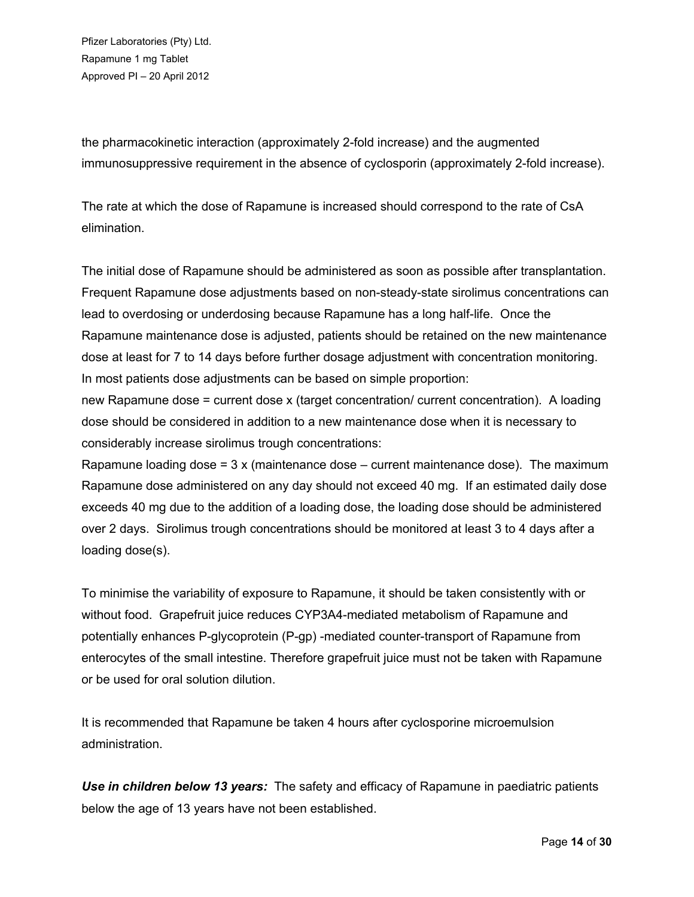the pharmacokinetic interaction (approximately 2-fold increase) and the augmented immunosuppressive requirement in the absence of cyclosporin (approximately 2-fold increase).

The rate at which the dose of Rapamune is increased should correspond to the rate of CsA elimination.

The initial dose of Rapamune should be administered as soon as possible after transplantation. Frequent Rapamune dose adjustments based on non-steady-state sirolimus concentrations can lead to overdosing or underdosing because Rapamune has a long half-life. Once the Rapamune maintenance dose is adjusted, patients should be retained on the new maintenance dose at least for 7 to 14 days before further dosage adjustment with concentration monitoring. In most patients dose adjustments can be based on simple proportion:

new Rapamune dose = current dose x (target concentration/ current concentration). A loading dose should be considered in addition to a new maintenance dose when it is necessary to considerably increase sirolimus trough concentrations:

Rapamune loading dose =  $3 \times$  (maintenance dose – current maintenance dose). The maximum Rapamune dose administered on any day should not exceed 40 mg. If an estimated daily dose exceeds 40 mg due to the addition of a loading dose, the loading dose should be administered over 2 days. Sirolimus trough concentrations should be monitored at least 3 to 4 days after a loading dose(s).

To minimise the variability of exposure to Rapamune, it should be taken consistently with or without food. Grapefruit juice reduces CYP3A4-mediated metabolism of Rapamune and potentially enhances P-glycoprotein (P-gp) -mediated counter-transport of Rapamune from enterocytes of the small intestine. Therefore grapefruit juice must not be taken with Rapamune or be used for oral solution dilution.

It is recommended that Rapamune be taken 4 hours after cyclosporine microemulsion administration.

*Use in children below 13 years:* The safety and efficacy of Rapamune in paediatric patients below the age of 13 years have not been established.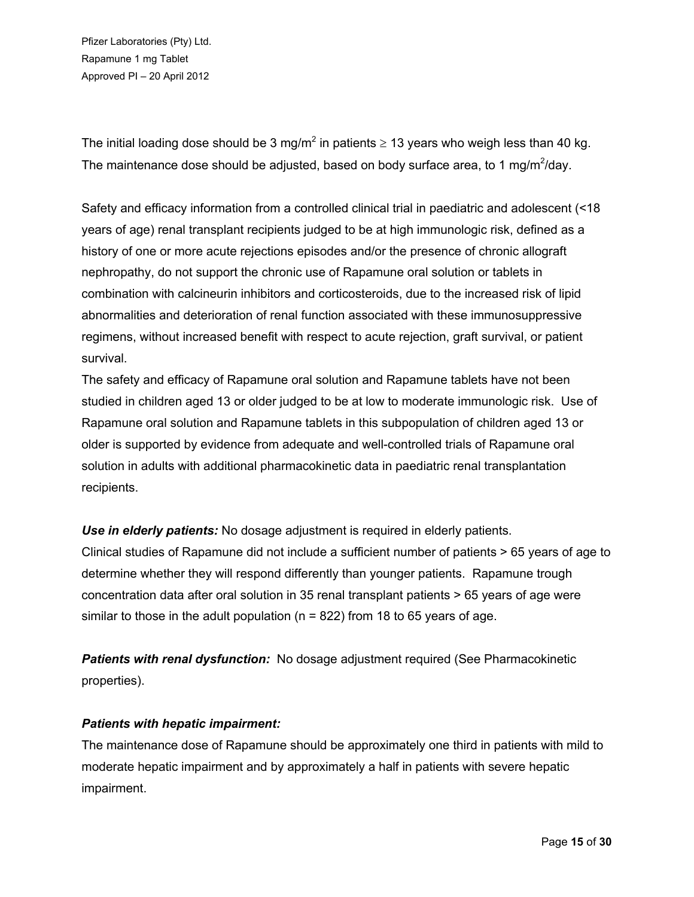The initial loading dose should be 3 mg/m<sup>2</sup> in patients  $\geq$  13 years who weigh less than 40 kg. The maintenance dose should be adjusted, based on body surface area, to 1 mg/m<sup>2</sup>/day.

Safety and efficacy information from a controlled clinical trial in paediatric and adolescent (<18 years of age) renal transplant recipients judged to be at high immunologic risk, defined as a history of one or more acute rejections episodes and/or the presence of chronic allograft nephropathy, do not support the chronic use of Rapamune oral solution or tablets in combination with calcineurin inhibitors and corticosteroids, due to the increased risk of lipid abnormalities and deterioration of renal function associated with these immunosuppressive regimens, without increased benefit with respect to acute rejection, graft survival, or patient survival.

The safety and efficacy of Rapamune oral solution and Rapamune tablets have not been studied in children aged 13 or older judged to be at low to moderate immunologic risk. Use of Rapamune oral solution and Rapamune tablets in this subpopulation of children aged 13 or older is supported by evidence from adequate and well-controlled trials of Rapamune oral solution in adults with additional pharmacokinetic data in paediatric renal transplantation recipients.

*Use in elderly patients:* No dosage adjustment is required in elderly patients. Clinical studies of Rapamune did not include a sufficient number of patients > 65 years of age to determine whether they will respond differently than younger patients. Rapamune trough concentration data after oral solution in 35 renal transplant patients > 65 years of age were similar to those in the adult population ( $n = 822$ ) from 18 to 65 years of age.

*Patients with renal dysfunction:* No dosage adjustment required (See Pharmacokinetic properties).

# *Patients with hepatic impairment:*

The maintenance dose of Rapamune should be approximately one third in patients with mild to moderate hepatic impairment and by approximately a half in patients with severe hepatic impairment.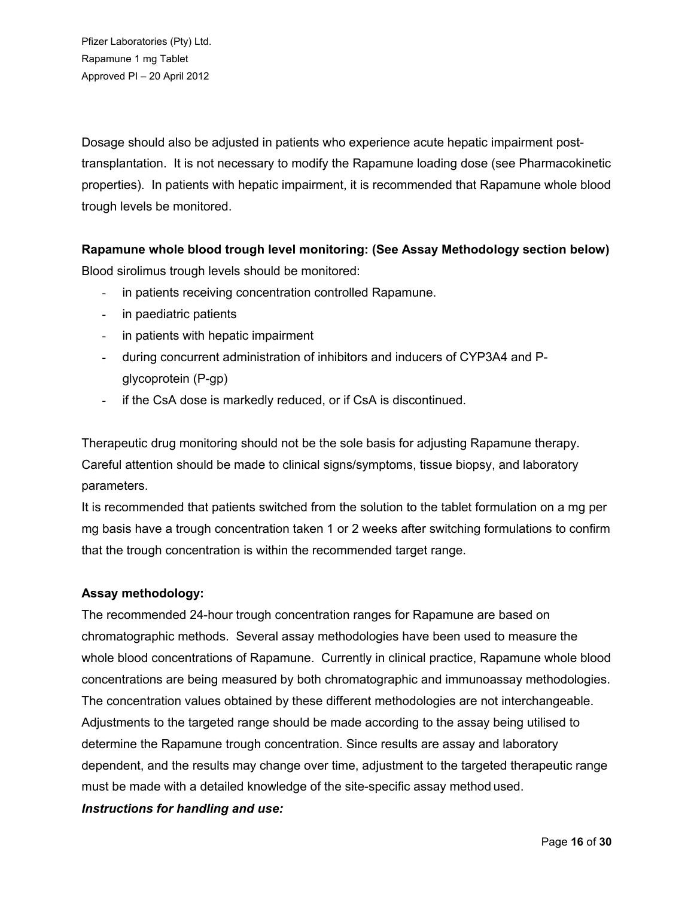Dosage should also be adjusted in patients who experience acute hepatic impairment posttransplantation. It is not necessary to modify the Rapamune loading dose (see Pharmacokinetic properties). In patients with hepatic impairment, it is recommended that Rapamune whole blood trough levels be monitored.

# **Rapamune whole blood trough level monitoring: (See Assay Methodology section below)**

Blood sirolimus trough levels should be monitored:

- in patients receiving concentration controlled Rapamune.
- in paediatric patients
- in patients with hepatic impairment
- during concurrent administration of inhibitors and inducers of CYP3A4 and Pglycoprotein (P-gp)
- if the CsA dose is markedly reduced, or if CsA is discontinued.

Therapeutic drug monitoring should not be the sole basis for adjusting Rapamune therapy. Careful attention should be made to clinical signs/symptoms, tissue biopsy, and laboratory parameters.

It is recommended that patients switched from the solution to the tablet formulation on a mg per mg basis have a trough concentration taken 1 or 2 weeks after switching formulations to confirm that the trough concentration is within the recommended target range.

# **Assay methodology:**

The recommended 24-hour trough concentration ranges for Rapamune are based on chromatographic methods. Several assay methodologies have been used to measure the whole blood concentrations of Rapamune. Currently in clinical practice, Rapamune whole blood concentrations are being measured by both chromatographic and immunoassay methodologies. The concentration values obtained by these different methodologies are not interchangeable. Adjustments to the targeted range should be made according to the assay being utilised to determine the Rapamune trough concentration. Since results are assay and laboratory dependent, and the results may change over time, adjustment to the targeted therapeutic range must be made with a detailed knowledge of the site-specific assay method used.

#### *Instructions for handling and use:*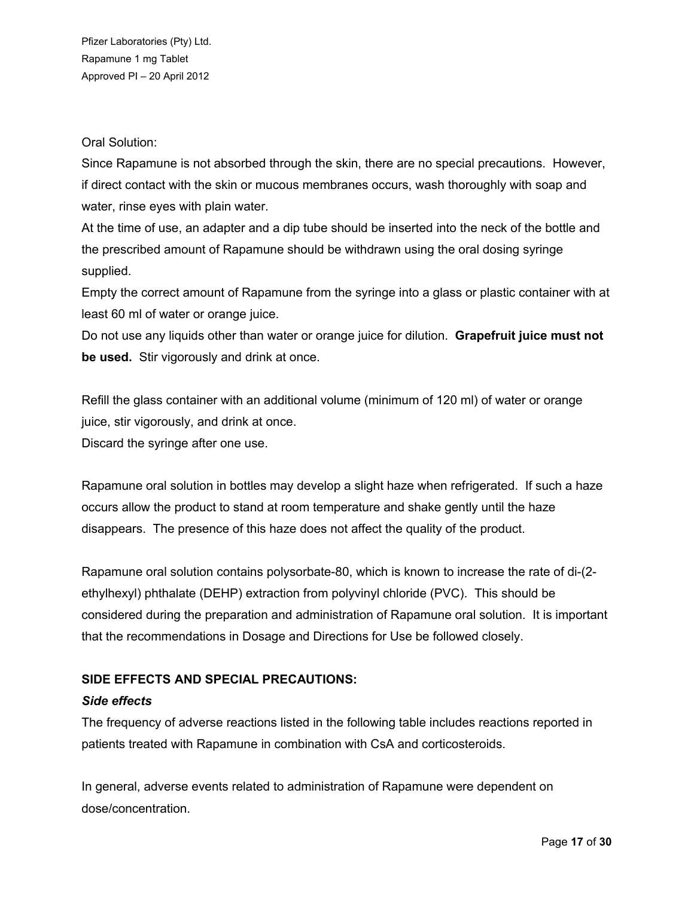## Oral Solution:

Since Rapamune is not absorbed through the skin, there are no special precautions. However, if direct contact with the skin or mucous membranes occurs, wash thoroughly with soap and water, rinse eyes with plain water.

At the time of use, an adapter and a dip tube should be inserted into the neck of the bottle and the prescribed amount of Rapamune should be withdrawn using the oral dosing syringe supplied.

Empty the correct amount of Rapamune from the syringe into a glass or plastic container with at least 60 ml of water or orange juice.

Do not use any liquids other than water or orange juice for dilution. **Grapefruit juice must not be used.** Stir vigorously and drink at once.

Refill the glass container with an additional volume (minimum of 120 ml) of water or orange juice, stir vigorously, and drink at once.

Discard the syringe after one use.

Rapamune oral solution in bottles may develop a slight haze when refrigerated. If such a haze occurs allow the product to stand at room temperature and shake gently until the haze disappears. The presence of this haze does not affect the quality of the product.

Rapamune oral solution contains polysorbate-80, which is known to increase the rate of di-(2 ethylhexyl) phthalate (DEHP) extraction from polyvinyl chloride (PVC). This should be considered during the preparation and administration of Rapamune oral solution. It is important that the recommendations in Dosage and Directions for Use be followed closely.

# **SIDE EFFECTS AND SPECIAL PRECAUTIONS:**

#### *Side effects*

The frequency of adverse reactions listed in the following table includes reactions reported in patients treated with Rapamune in combination with CsA and corticosteroids.

In general, adverse events related to administration of Rapamune were dependent on dose/concentration.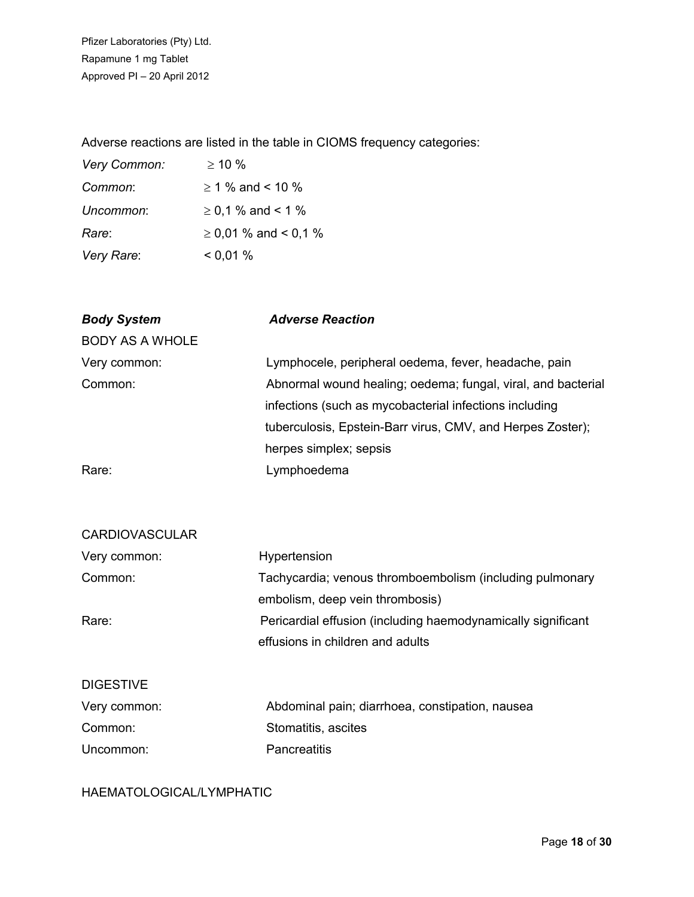Adverse reactions are listed in the table in CIOMS frequency categories:

| Very Common: | $> 10\%$                  |
|--------------|---------------------------|
| Common:      | $\geq$ 1 % and < 10 %     |
| Uncommon:    | $\geq$ 0,1 % and < 1 %    |
| Rare:        | $\geq$ 0,01 % and < 0,1 % |
| Very Rare:   | $0.01\%$                  |

| <b>Body System</b>     | <b>Adverse Reaction</b>                                      |
|------------------------|--------------------------------------------------------------|
| <b>BODY AS A WHOLE</b> |                                                              |
| Very common:           | Lymphocele, peripheral oedema, fever, headache, pain         |
| Common:                | Abnormal wound healing; oedema; fungal, viral, and bacterial |
|                        | infections (such as mycobacterial infections including       |
|                        | tuberculosis, Epstein-Barr virus, CMV, and Herpes Zoster);   |
|                        | herpes simplex; sepsis                                       |
| Rare:                  | Lymphoedema                                                  |

| <b>CARDIOVASCULAR</b> |                                                              |  |
|-----------------------|--------------------------------------------------------------|--|
| Very common:          | Hypertension                                                 |  |
| Common:               | Tachycardia; venous thromboembolism (including pulmonary     |  |
|                       | embolism, deep vein thrombosis)                              |  |
| Rare:                 | Pericardial effusion (including haemodynamically significant |  |
|                       | effusions in children and adults                             |  |
|                       |                                                              |  |
| <b>DIGESTIVE</b>      |                                                              |  |

| Very common: | Abdominal pain; diarrhoea, constipation, nausea |
|--------------|-------------------------------------------------|
| Common:      | Stomatitis, ascites                             |
| Uncommon:    | Pancreatitis                                    |

HAEMATOLOGICAL/LYMPHATIC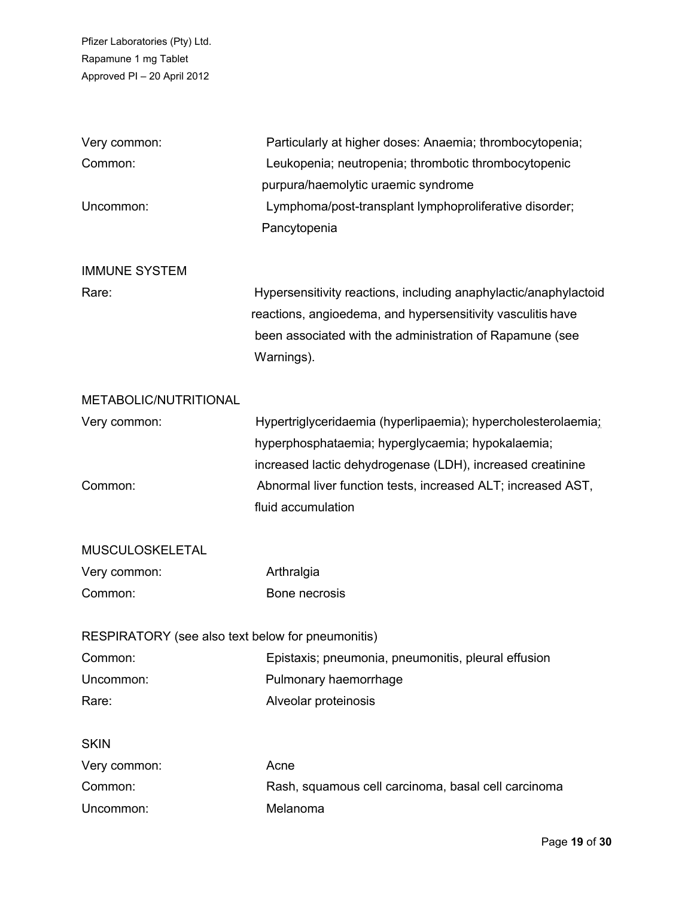| Very common:                                      | Particularly at higher doses: Anaemia; thrombocytopenia;         |  |  |  |
|---------------------------------------------------|------------------------------------------------------------------|--|--|--|
| Common:                                           | Leukopenia; neutropenia; thrombotic thrombocytopenic             |  |  |  |
|                                                   | purpura/haemolytic uraemic syndrome                              |  |  |  |
| Uncommon:                                         | Lymphoma/post-transplant lymphoproliferative disorder;           |  |  |  |
|                                                   | Pancytopenia                                                     |  |  |  |
| <b>IMMUNE SYSTEM</b>                              |                                                                  |  |  |  |
| Rare:                                             | Hypersensitivity reactions, including anaphylactic/anaphylactoid |  |  |  |
|                                                   | reactions, angioedema, and hypersensitivity vasculitis have      |  |  |  |
|                                                   | been associated with the administration of Rapamune (see         |  |  |  |
|                                                   | Warnings).                                                       |  |  |  |
| METABOLIC/NUTRITIONAL                             |                                                                  |  |  |  |
| Very common:                                      | Hypertriglyceridaemia (hyperlipaemia); hypercholesterolaemia;    |  |  |  |
|                                                   | hyperphosphataemia; hyperglycaemia; hypokalaemia;                |  |  |  |
|                                                   | increased lactic dehydrogenase (LDH), increased creatinine       |  |  |  |
| Common:                                           | Abnormal liver function tests, increased ALT; increased AST,     |  |  |  |
|                                                   | fluid accumulation                                               |  |  |  |
| MUSCULOSKELETAL                                   |                                                                  |  |  |  |
| Very common:                                      | Arthralgia                                                       |  |  |  |
| Common:                                           | Bone necrosis                                                    |  |  |  |
| RESPIRATORY (see also text below for pneumonitis) |                                                                  |  |  |  |
| Common:                                           | Epistaxis; pneumonia, pneumonitis, pleural effusion              |  |  |  |
| Uncommon:                                         | Pulmonary haemorrhage                                            |  |  |  |
| Rare:                                             | Alveolar proteinosis                                             |  |  |  |
| <b>SKIN</b>                                       |                                                                  |  |  |  |
| Very common:                                      | Acne                                                             |  |  |  |
| Common:                                           | Rash, squamous cell carcinoma, basal cell carcinoma              |  |  |  |
| Uncommon:                                         | Melanoma                                                         |  |  |  |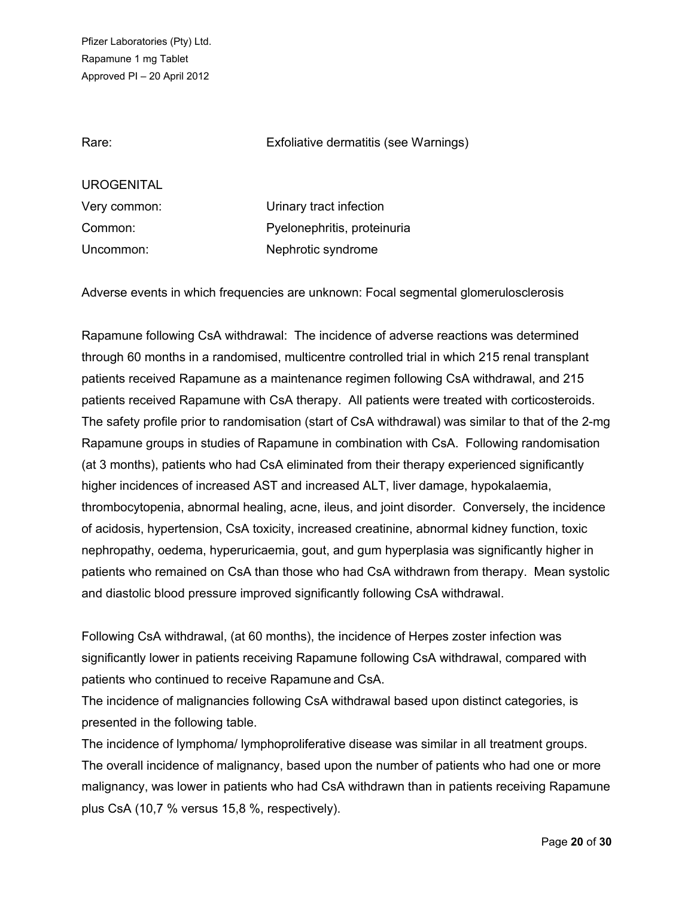Rare: Exfoliative dermatitis (see Warnings)

UROGENITAL

Very common: Urinary tract infection Common: Pyelonephritis, proteinuria Uncommon: Nephrotic syndrome

Adverse events in which frequencies are unknown: Focal segmental glomerulosclerosis

Rapamune following CsA withdrawal: The incidence of adverse reactions was determined through 60 months in a randomised, multicentre controlled trial in which 215 renal transplant patients received Rapamune as a maintenance regimen following CsA withdrawal, and 215 patients received Rapamune with CsA therapy. All patients were treated with corticosteroids. The safety profile prior to randomisation (start of CsA withdrawal) was similar to that of the 2-mg Rapamune groups in studies of Rapamune in combination with CsA. Following randomisation (at 3 months), patients who had CsA eliminated from their therapy experienced significantly higher incidences of increased AST and increased ALT, liver damage, hypokalaemia, thrombocytopenia, abnormal healing, acne, ileus, and joint disorder. Conversely, the incidence of acidosis, hypertension, CsA toxicity, increased creatinine, abnormal kidney function, toxic nephropathy, oedema, hyperuricaemia, gout, and gum hyperplasia was significantly higher in patients who remained on CsA than those who had CsA withdrawn from therapy. Mean systolic and diastolic blood pressure improved significantly following CsA withdrawal.

Following CsA withdrawal, (at 60 months), the incidence of Herpes zoster infection was significantly lower in patients receiving Rapamune following CsA withdrawal, compared with patients who continued to receive Rapamune and CsA.

The incidence of malignancies following CsA withdrawal based upon distinct categories, is presented in the following table.

The incidence of lymphoma/ lymphoproliferative disease was similar in all treatment groups. The overall incidence of malignancy, based upon the number of patients who had one or more malignancy, was lower in patients who had CsA withdrawn than in patients receiving Rapamune plus CsA (10,7 % versus 15,8 %, respectively).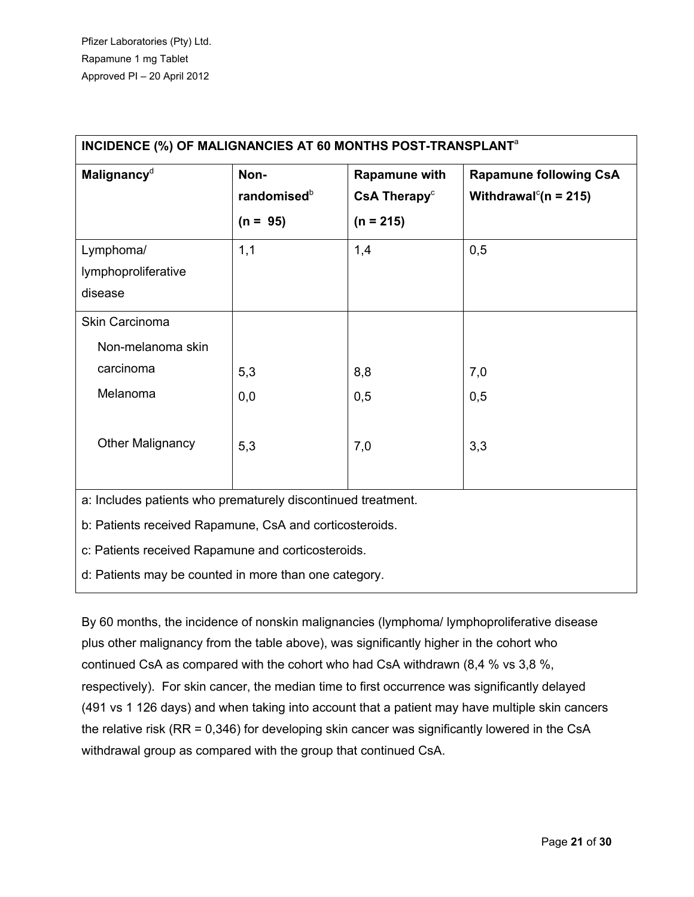| Malignancy <sup>d</sup>                                      | Non-<br>randomised <sup>b</sup><br>$(n = 95)$ | Rapamune with<br>CsA Therapy <sup>c</sup><br>$(n = 215)$ | <b>Rapamune following CsA</b><br>Withdrawal <sup>c</sup> ( $n = 215$ ) |  |
|--------------------------------------------------------------|-----------------------------------------------|----------------------------------------------------------|------------------------------------------------------------------------|--|
| Lymphoma/<br>lymphoproliferative<br>disease                  | 1,1                                           | 1,4                                                      | 0,5                                                                    |  |
| Skin Carcinoma                                               |                                               |                                                          |                                                                        |  |
| Non-melanoma skin                                            |                                               |                                                          |                                                                        |  |
| carcinoma                                                    | 5,3                                           | 8,8                                                      | 7,0                                                                    |  |
| Melanoma                                                     | 0,0                                           | 0,5                                                      | 0,5                                                                    |  |
| <b>Other Malignancy</b>                                      | 5,3                                           | 7,0                                                      | 3,3                                                                    |  |
| a: Includes patients who prematurely discontinued treatment. |                                               |                                                          |                                                                        |  |
| b: Patients received Rapamune, CsA and corticosteroids.      |                                               |                                                          |                                                                        |  |
| c: Patients received Rapamune and corticosteroids.           |                                               |                                                          |                                                                        |  |
| d: Patients may be counted in more than one category.        |                                               |                                                          |                                                                        |  |

By 60 months, the incidence of nonskin malignancies (lymphoma/ lymphoproliferative disease plus other malignancy from the table above), was significantly higher in the cohort who continued CsA as compared with the cohort who had CsA withdrawn (8,4 % vs 3,8 %, respectively). For skin cancer, the median time to first occurrence was significantly delayed (491 vs 1 126 days) and when taking into account that a patient may have multiple skin cancers the relative risk (RR = 0,346) for developing skin cancer was significantly lowered in the CsA withdrawal group as compared with the group that continued CsA.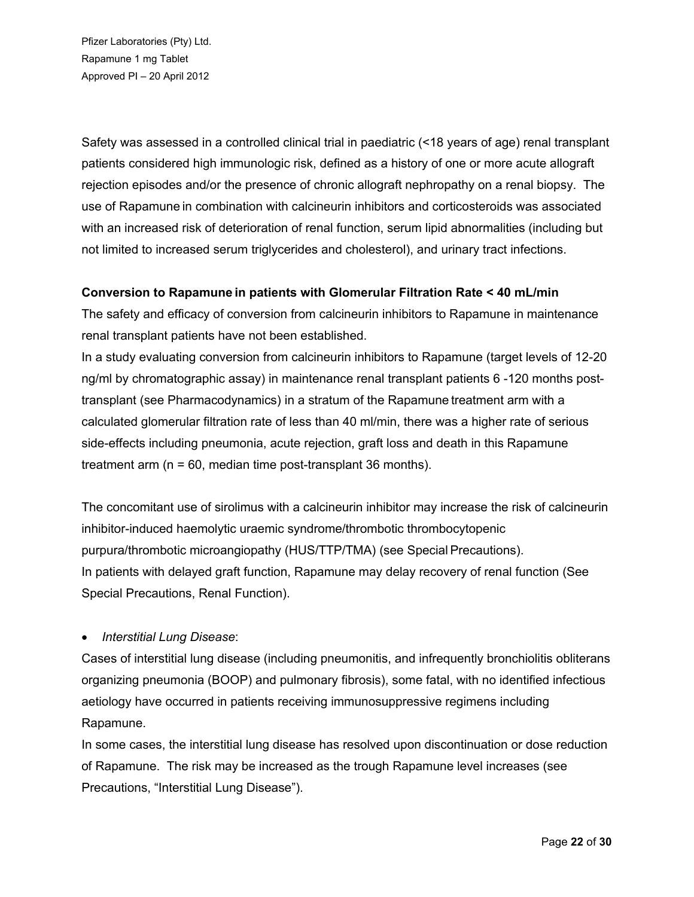Safety was assessed in a controlled clinical trial in paediatric (<18 years of age) renal transplant patients considered high immunologic risk, defined as a history of one or more acute allograft rejection episodes and/or the presence of chronic allograft nephropathy on a renal biopsy. The use of Rapamune in combination with calcineurin inhibitors and corticosteroids was associated with an increased risk of deterioration of renal function, serum lipid abnormalities (including but not limited to increased serum triglycerides and cholesterol), and urinary tract infections.

# **Conversion to Rapamune in patients with Glomerular Filtration Rate < 40 mL/min**

The safety and efficacy of conversion from calcineurin inhibitors to Rapamune in maintenance renal transplant patients have not been established.

In a study evaluating conversion from calcineurin inhibitors to Rapamune (target levels of 12-20 ng/ml by chromatographic assay) in maintenance renal transplant patients 6 -120 months posttransplant (see Pharmacodynamics) in a stratum of the Rapamune treatment arm with a calculated glomerular filtration rate of less than 40 ml/min, there was a higher rate of serious side-effects including pneumonia, acute rejection, graft loss and death in this Rapamune treatment arm (n = 60, median time post-transplant 36 months).

The concomitant use of sirolimus with a calcineurin inhibitor may increase the risk of calcineurin inhibitor-induced haemolytic uraemic syndrome/thrombotic thrombocytopenic purpura/thrombotic microangiopathy (HUS/TTP/TMA) (see Special Precautions). In patients with delayed graft function, Rapamune may delay recovery of renal function (See Special Precautions, Renal Function).

# *Interstitial Lung Disease*:

Cases of interstitial lung disease (including pneumonitis, and infrequently bronchiolitis obliterans organizing pneumonia (BOOP) and pulmonary fibrosis), some fatal, with no identified infectious aetiology have occurred in patients receiving immunosuppressive regimens including Rapamune.

In some cases, the interstitial lung disease has resolved upon discontinuation or dose reduction of Rapamune. The risk may be increased as the trough Rapamune level increases (see Precautions, "Interstitial Lung Disease").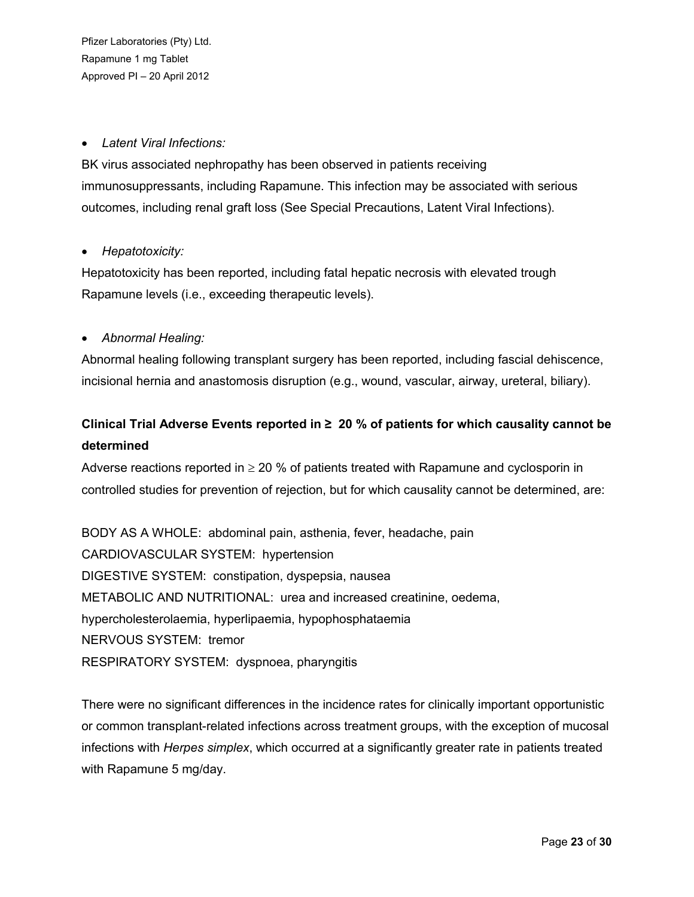## *Latent Viral Infections:*

BK virus associated nephropathy has been observed in patients receiving immunosuppressants, including Rapamune. This infection may be associated with serious outcomes, including renal graft loss (See Special Precautions, Latent Viral Infections).

### *Hepatotoxicity:*

Hepatotoxicity has been reported, including fatal hepatic necrosis with elevated trough Rapamune levels (i.e., exceeding therapeutic levels).

# *Abnormal Healing:*

Abnormal healing following transplant surgery has been reported, including fascial dehiscence, incisional hernia and anastomosis disruption (e.g., wound, vascular, airway, ureteral, biliary).

# **Clinical Trial Adverse Events reported in ≥ 20 % of patients for which causality cannot be determined**

Adverse reactions reported in  $\geq 20$  % of patients treated with Rapamune and cyclosporin in controlled studies for prevention of rejection, but for which causality cannot be determined, are:

BODY AS A WHOLE: abdominal pain, asthenia, fever, headache, pain CARDIOVASCULAR SYSTEM: hypertension DIGESTIVE SYSTEM: constipation, dyspepsia, nausea METABOLIC AND NUTRITIONAL: urea and increased creatinine, oedema, hypercholesterolaemia, hyperlipaemia, hypophosphataemia NERVOUS SYSTEM: tremor RESPIRATORY SYSTEM: dyspnoea, pharyngitis

There were no significant differences in the incidence rates for clinically important opportunistic or common transplant-related infections across treatment groups, with the exception of mucosal infections with *Herpes simplex*, which occurred at a significantly greater rate in patients treated with Rapamune 5 mg/day.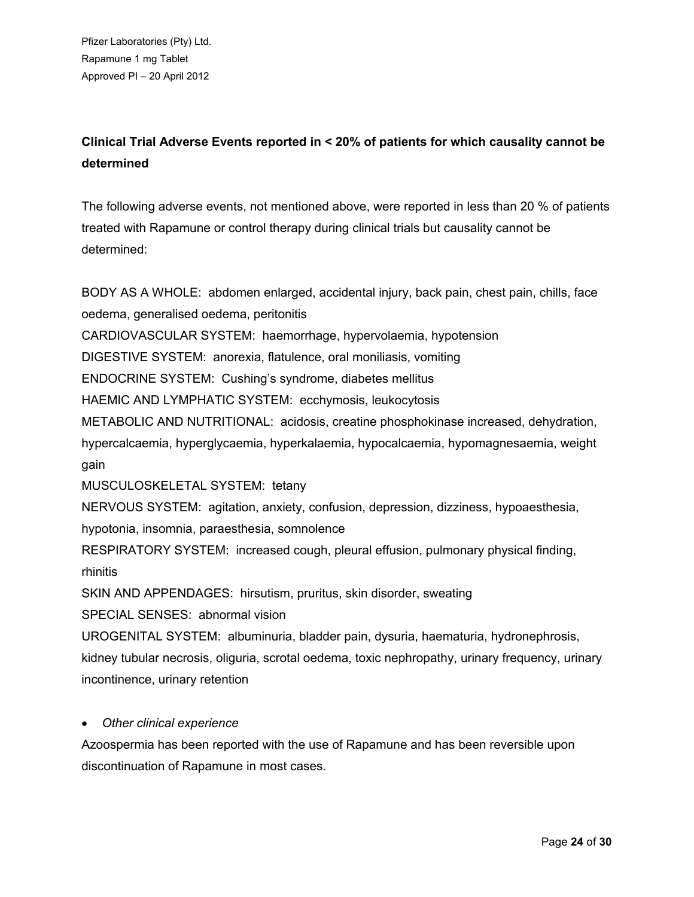# **Clinical Trial Adverse Events reported in < 20% of patients for which causality cannot be determined**

The following adverse events, not mentioned above, were reported in less than 20 % of patients treated with Rapamune or control therapy during clinical trials but causality cannot be determined:

BODY AS A WHOLE: abdomen enlarged, accidental injury, back pain, chest pain, chills, face oedema, generalised oedema, peritonitis

CARDIOVASCULAR SYSTEM: haemorrhage, hypervolaemia, hypotension

DIGESTIVE SYSTEM: anorexia, flatulence, oral moniliasis, vomiting

ENDOCRINE SYSTEM: Cushing's syndrome, diabetes mellitus

HAEMIC AND LYMPHATIC SYSTEM: ecchymosis, leukocytosis

METABOLIC AND NUTRITIONAL: acidosis, creatine phosphokinase increased, dehydration,

hypercalcaemia, hyperglycaemia, hyperkalaemia, hypocalcaemia, hypomagnesaemia, weight gain

MUSCULOSKELETAL SYSTEM: tetany

NERVOUS SYSTEM: agitation, anxiety, confusion, depression, dizziness, hypoaesthesia, hypotonia, insomnia, paraesthesia, somnolence

RESPIRATORY SYSTEM: increased cough, pleural effusion, pulmonary physical finding, rhinitis

SKIN AND APPENDAGES: hirsutism, pruritus, skin disorder, sweating

SPECIAL SENSES: abnormal vision

UROGENITAL SYSTEM: albuminuria, bladder pain, dysuria, haematuria, hydronephrosis, kidney tubular necrosis, oliguria, scrotal oedema, toxic nephropathy, urinary frequency, urinary incontinence, urinary retention

# *Other clinical experience*

Azoospermia has been reported with the use of Rapamune and has been reversible upon discontinuation of Rapamune in most cases.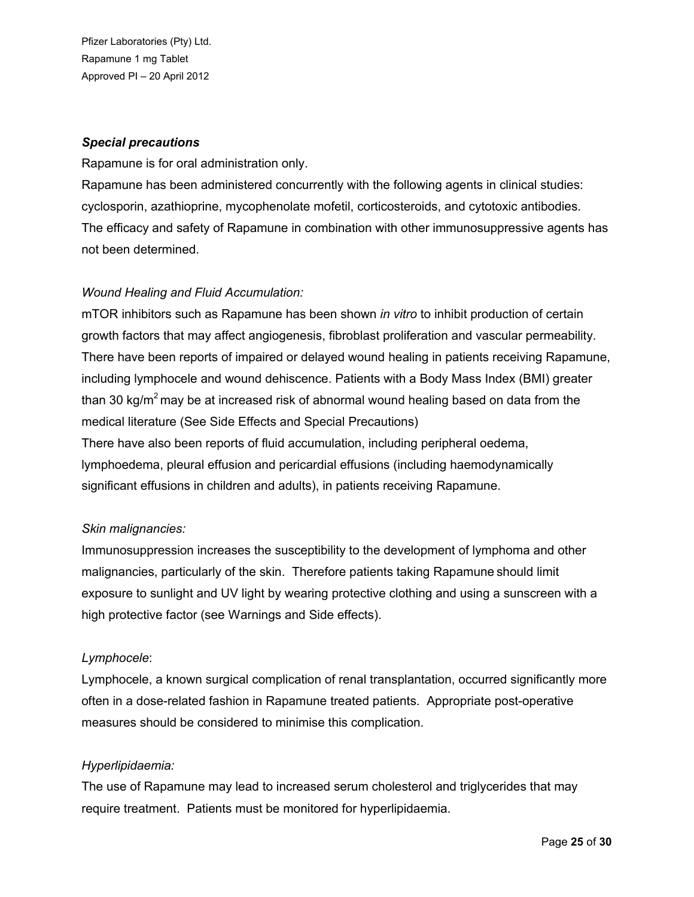### *Special precautions*

Rapamune is for oral administration only.

Rapamune has been administered concurrently with the following agents in clinical studies: cyclosporin, azathioprine, mycophenolate mofetil, corticosteroids, and cytotoxic antibodies. The efficacy and safety of Rapamune in combination with other immunosuppressive agents has not been determined.

# *Wound Healing and Fluid Accumulation:*

mTOR inhibitors such as Rapamune has been shown *in vitro* to inhibit production of certain growth factors that may affect angiogenesis, fibroblast proliferation and vascular permeability. There have been reports of impaired or delayed wound healing in patients receiving Rapamune, including lymphocele and wound dehiscence. Patients with a Body Mass Index (BMI) greater than 30 kg/ $m^2$  may be at increased risk of abnormal wound healing based on data from the medical literature (See Side Effects and Special Precautions)

There have also been reports of fluid accumulation, including peripheral oedema, lymphoedema, pleural effusion and pericardial effusions (including haemodynamically significant effusions in children and adults), in patients receiving Rapamune.

# *Skin malignancies:*

Immunosuppression increases the susceptibility to the development of lymphoma and other malignancies, particularly of the skin. Therefore patients taking Rapamune should limit exposure to sunlight and UV light by wearing protective clothing and using a sunscreen with a high protective factor (see Warnings and Side effects).

#### *Lymphocele*:

Lymphocele, a known surgical complication of renal transplantation, occurred significantly more often in a dose-related fashion in Rapamune treated patients. Appropriate post-operative measures should be considered to minimise this complication.

#### *Hyperlipidaemia:*

The use of Rapamune may lead to increased serum cholesterol and triglycerides that may require treatment. Patients must be monitored for hyperlipidaemia.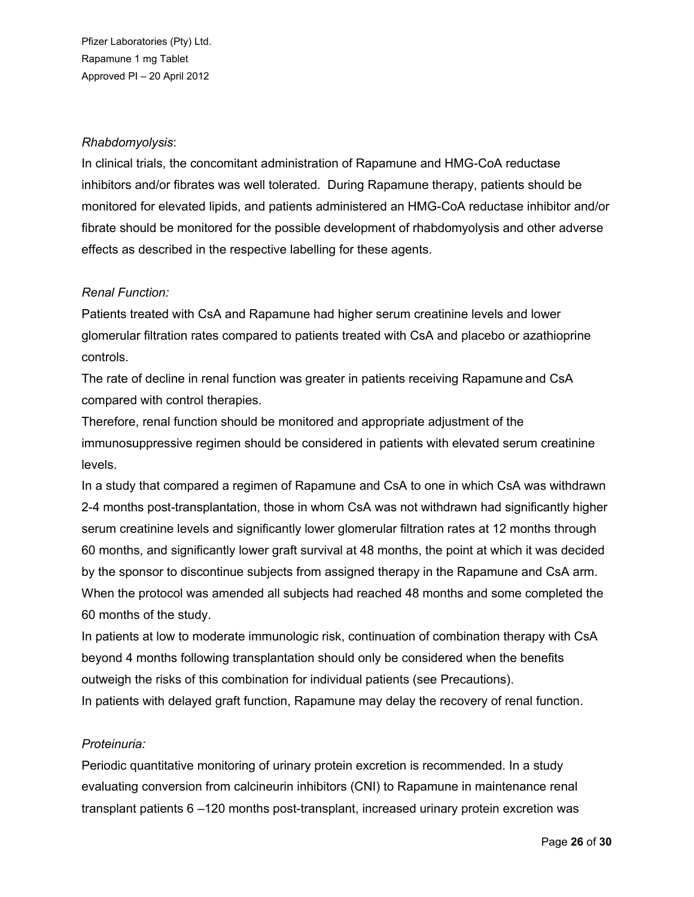### *Rhabdomyolysis*:

In clinical trials, the concomitant administration of Rapamune and HMG-CoA reductase inhibitors and/or fibrates was well tolerated. During Rapamune therapy, patients should be monitored for elevated lipids, and patients administered an HMG-CoA reductase inhibitor and/or fibrate should be monitored for the possible development of rhabdomyolysis and other adverse effects as described in the respective labelling for these agents.

# *Renal Function:*

Patients treated with CsA and Rapamune had higher serum creatinine levels and lower glomerular filtration rates compared to patients treated with CsA and placebo or azathioprine controls.

The rate of decline in renal function was greater in patients receiving Rapamune and CsA compared with control therapies.

Therefore, renal function should be monitored and appropriate adjustment of the immunosuppressive regimen should be considered in patients with elevated serum creatinine levels.

In a study that compared a regimen of Rapamune and CsA to one in which CsA was withdrawn 2-4 months post-transplantation, those in whom CsA was not withdrawn had significantly higher serum creatinine levels and significantly lower glomerular filtration rates at 12 months through 60 months, and significantly lower graft survival at 48 months, the point at which it was decided by the sponsor to discontinue subjects from assigned therapy in the Rapamune and CsA arm. When the protocol was amended all subjects had reached 48 months and some completed the 60 months of the study.

In patients at low to moderate immunologic risk, continuation of combination therapy with CsA beyond 4 months following transplantation should only be considered when the benefits outweigh the risks of this combination for individual patients (see Precautions). In patients with delayed graft function, Rapamune may delay the recovery of renal function.

#### *Proteinuria:*

Periodic quantitative monitoring of urinary protein excretion is recommended. In a study evaluating conversion from calcineurin inhibitors (CNI) to Rapamune in maintenance renal transplant patients 6 –120 months post-transplant, increased urinary protein excretion was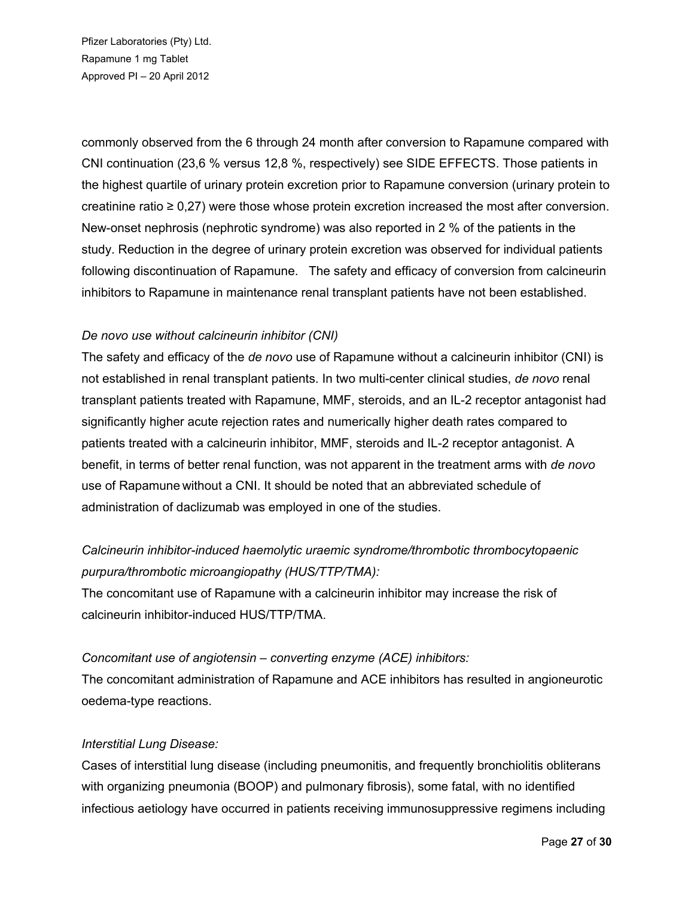commonly observed from the 6 through 24 month after conversion to Rapamune compared with CNI continuation (23,6 % versus 12,8 %, respectively) see SIDE EFFECTS. Those patients in the highest quartile of urinary protein excretion prior to Rapamune conversion (urinary protein to creatinine ratio ≥ 0,27) were those whose protein excretion increased the most after conversion. New-onset nephrosis (nephrotic syndrome) was also reported in 2 % of the patients in the study. Reduction in the degree of urinary protein excretion was observed for individual patients following discontinuation of Rapamune. The safety and efficacy of conversion from calcineurin inhibitors to Rapamune in maintenance renal transplant patients have not been established.

# *De novo use without calcineurin inhibitor (CNI)*

The safety and efficacy of the *de novo* use of Rapamune without a calcineurin inhibitor (CNI) is not established in renal transplant patients. In two multi-center clinical studies, *de novo* renal transplant patients treated with Rapamune, MMF, steroids, and an IL-2 receptor antagonist had significantly higher acute rejection rates and numerically higher death rates compared to patients treated with a calcineurin inhibitor, MMF, steroids and IL-2 receptor antagonist. A benefit, in terms of better renal function, was not apparent in the treatment arms with *de novo* use of Rapamune without a CNI. It should be noted that an abbreviated schedule of administration of daclizumab was employed in one of the studies.

# *Calcineurin inhibitor-induced haemolytic uraemic syndrome/thrombotic thrombocytopaenic purpura/thrombotic microangiopathy (HUS/TTP/TMA):*

The concomitant use of Rapamune with a calcineurin inhibitor may increase the risk of calcineurin inhibitor-induced HUS/TTP/TMA.

# *Concomitant use of angiotensin – converting enzyme (ACE) inhibitors:*

The concomitant administration of Rapamune and ACE inhibitors has resulted in angioneurotic oedema-type reactions.

#### *Interstitial Lung Disease:*

Cases of interstitial lung disease (including pneumonitis, and frequently bronchiolitis obliterans with organizing pneumonia (BOOP) and pulmonary fibrosis), some fatal, with no identified infectious aetiology have occurred in patients receiving immunosuppressive regimens including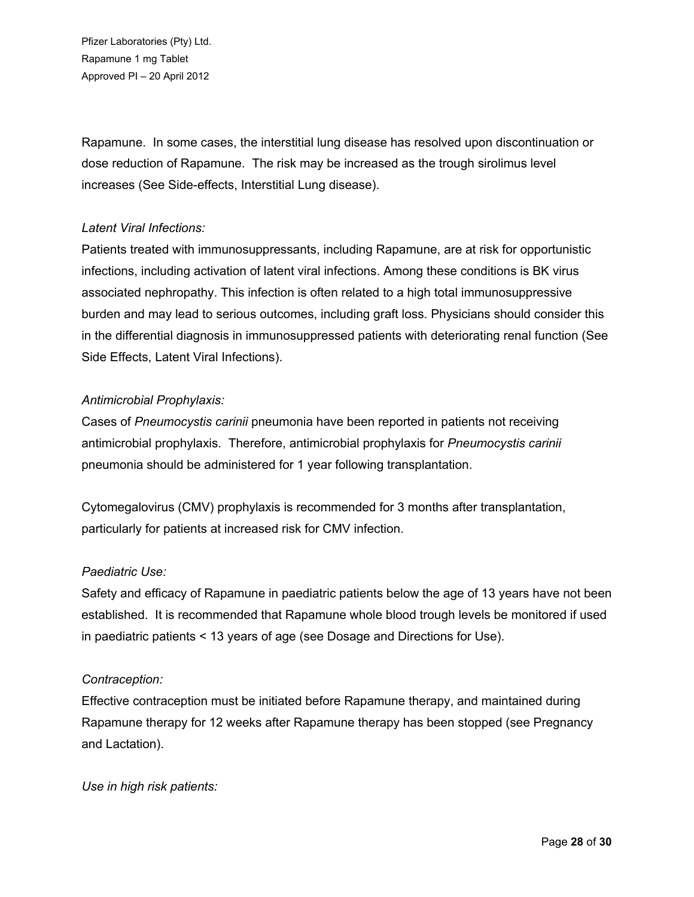Rapamune. In some cases, the interstitial lung disease has resolved upon discontinuation or dose reduction of Rapamune. The risk may be increased as the trough sirolimus level increases (See Side-effects, Interstitial Lung disease).

# *Latent Viral Infections:*

Patients treated with immunosuppressants, including Rapamune, are at risk for opportunistic infections, including activation of latent viral infections. Among these conditions is BK virus associated nephropathy. This infection is often related to a high total immunosuppressive burden and may lead to serious outcomes, including graft loss. Physicians should consider this in the differential diagnosis in immunosuppressed patients with deteriorating renal function (See Side Effects, Latent Viral Infections).

# *Antimicrobial Prophylaxis:*

Cases of *Pneumocystis carinii* pneumonia have been reported in patients not receiving antimicrobial prophylaxis. Therefore, antimicrobial prophylaxis for *Pneumocystis carinii*  pneumonia should be administered for 1 year following transplantation.

Cytomegalovirus (CMV) prophylaxis is recommended for 3 months after transplantation, particularly for patients at increased risk for CMV infection.

# *Paediatric Use:*

Safety and efficacy of Rapamune in paediatric patients below the age of 13 years have not been established. It is recommended that Rapamune whole blood trough levels be monitored if used in paediatric patients < 13 years of age (see Dosage and Directions for Use).

# *Contraception:*

Effective contraception must be initiated before Rapamune therapy, and maintained during Rapamune therapy for 12 weeks after Rapamune therapy has been stopped (see Pregnancy and Lactation).

*Use in high risk patients:*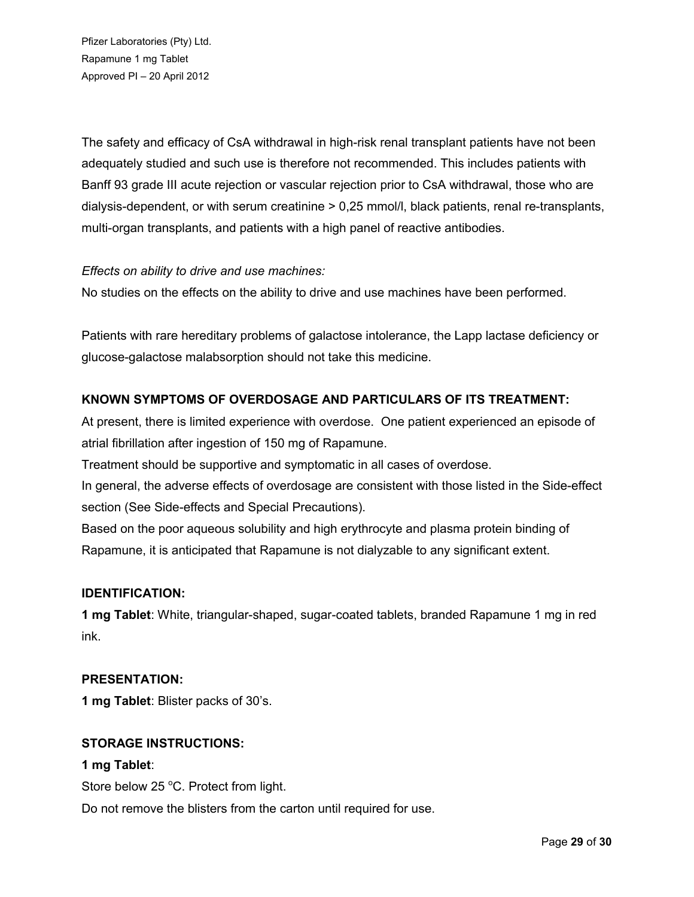The safety and efficacy of CsA withdrawal in high-risk renal transplant patients have not been adequately studied and such use is therefore not recommended. This includes patients with Banff 93 grade III acute rejection or vascular rejection prior to CsA withdrawal, those who are dialysis-dependent, or with serum creatinine > 0,25 mmol/l, black patients, renal re-transplants, multi-organ transplants, and patients with a high panel of reactive antibodies.

# *Effects on ability to drive and use machines:*

No studies on the effects on the ability to drive and use machines have been performed.

Patients with rare hereditary problems of galactose intolerance, the Lapp lactase deficiency or glucose-galactose malabsorption should not take this medicine.

# **KNOWN SYMPTOMS OF OVERDOSAGE AND PARTICULARS OF ITS TREATMENT:**

At present, there is limited experience with overdose. One patient experienced an episode of atrial fibrillation after ingestion of 150 mg of Rapamune.

Treatment should be supportive and symptomatic in all cases of overdose.

In general, the adverse effects of overdosage are consistent with those listed in the Side-effect section (See Side-effects and Special Precautions).

Based on the poor aqueous solubility and high erythrocyte and plasma protein binding of Rapamune, it is anticipated that Rapamune is not dialyzable to any significant extent.

#### **IDENTIFICATION:**

**1 mg Tablet**: White, triangular-shaped, sugar-coated tablets, branded Rapamune 1 mg in red ink.

#### **PRESENTATION:**

**1 mg Tablet**: Blister packs of 30's.

#### **STORAGE INSTRUCTIONS:**

#### **1 mg Tablet**:

Store below 25 °C. Protect from light.

Do not remove the blisters from the carton until required for use.